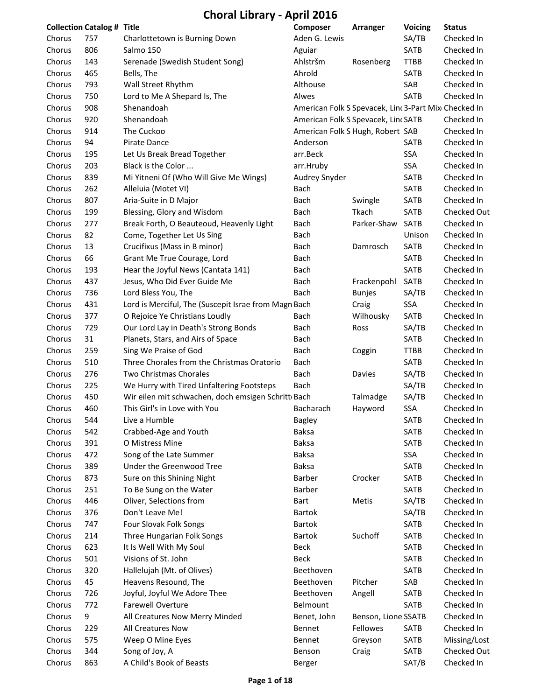| <b>Collection Catalog # Title</b> |     |                                                      | Composer                                             | Arranger            | Voicing     | <b>Status</b> |
|-----------------------------------|-----|------------------------------------------------------|------------------------------------------------------|---------------------|-------------|---------------|
| Chorus                            | 757 | Charlottetown is Burning Down                        | Aden G. Lewis                                        |                     | SA/TB       | Checked In    |
| Chorus                            | 806 | Salmo 150                                            | Aguiar                                               |                     | SATB        | Checked In    |
| Chorus                            | 143 | Serenade (Swedish Student Song)                      | Ahlstršm                                             | Rosenberg           | <b>TTBB</b> | Checked In    |
| Chorus                            | 465 | Bells, The                                           | Ahrold                                               |                     | SATB        | Checked In    |
| Chorus                            | 793 | Wall Street Rhythm                                   | Althouse                                             |                     | SAB         | Checked In    |
| Chorus                            | 750 | Lord to Me A Shepard Is, The                         | Alwes                                                |                     | <b>SATB</b> | Checked In    |
| Chorus                            | 908 | Shenandoah                                           | American Folk S Spevacek, Linc 3-Part Mix Checked In |                     |             |               |
| Chorus                            | 920 | Shenandoah                                           | American Folk S Spevacek, Linc SATB                  |                     |             | Checked In    |
| Chorus                            | 914 | The Cuckoo                                           | American Folk S Hugh, Robert SAB                     |                     |             | Checked In    |
| Chorus                            | 94  | Pirate Dance                                         | Anderson                                             |                     | <b>SATB</b> | Checked In    |
| Chorus                            | 195 | Let Us Break Bread Together                          | arr.Beck                                             |                     | SSA         | Checked In    |
| Chorus                            | 203 | Black is the Color                                   | arr.Hruby                                            |                     | SSA         | Checked In    |
| Chorus                            | 839 | Mi Yitneni Of (Who Will Give Me Wings)               | Audrey Snyder                                        |                     | SATB        | Checked In    |
| Chorus                            | 262 | Alleluia (Motet VI)                                  | Bach                                                 |                     | SATB        | Checked In    |
| Chorus                            | 807 | Aria-Suite in D Major                                | Bach                                                 | Swingle             | SATB        | Checked In    |
| Chorus                            | 199 | Blessing, Glory and Wisdom                           | Bach                                                 | Tkach               | SATB        | Checked Out   |
| Chorus                            | 277 | Break Forth, O Beauteoud, Heavenly Light             | Bach                                                 | Parker-Shaw         | <b>SATB</b> | Checked In    |
| Chorus                            | 82  | Come, Together Let Us Sing                           | Bach                                                 |                     | Unison      | Checked In    |
| Chorus                            | 13  | Crucifixus (Mass in B minor)                         | Bach                                                 | Damrosch            | <b>SATB</b> | Checked In    |
| Chorus                            | 66  | Grant Me True Courage, Lord                          | Bach                                                 |                     | SATB        | Checked In    |
| Chorus                            | 193 | Hear the Joyful News (Cantata 141)                   | Bach                                                 |                     | <b>SATB</b> | Checked In    |
| Chorus                            | 437 | Jesus, Who Did Ever Guide Me                         | Bach                                                 | Frackenpohl         | SATB        | Checked In    |
| Chorus                            | 736 | Lord Bless You, The                                  | Bach                                                 | <b>Bunjes</b>       | SA/TB       | Checked In    |
| Chorus                            | 431 | Lord is Merciful, The (Suscepit Israe from Magn Bach |                                                      | Craig               | SSA         | Checked In    |
| Chorus                            | 377 | O Rejoice Ye Christians Loudly                       | Bach                                                 | Wilhousky           | SATB        | Checked In    |
| Chorus                            | 729 | Our Lord Lay in Death's Strong Bonds                 | Bach                                                 | Ross                | SA/TB       | Checked In    |
| Chorus                            | 31  | Planets, Stars, and Airs of Space                    | Bach                                                 |                     | <b>SATB</b> | Checked In    |
| Chorus                            | 259 | Sing We Praise of God                                | Bach                                                 | Coggin              | <b>TTBB</b> | Checked In    |
| Chorus                            | 510 | Three Chorales from the Christmas Oratorio           | Bach                                                 |                     | <b>SATB</b> | Checked In    |
| Chorus                            | 276 | Two Christmas Chorales                               | Bach                                                 | Davies              | SA/TB       | Checked In    |
| Chorus                            | 225 | We Hurry with Tired Unfaltering Footsteps            | Bach                                                 |                     | SA/TB       | Checked In    |
| Chorus                            | 450 | Wir eilen mit schwachen, doch emsigen Schritt Bach   |                                                      | Talmadge            | SA/TB       | Checked In    |
| Chorus                            | 460 | This Girl's in Love with You                         | Bacharach                                            | Hayword             | <b>SSA</b>  | Checked In    |
| Chorus                            | 544 | Live a Humble                                        | <b>Bagley</b>                                        |                     | <b>SATB</b> | Checked In    |
| Chorus                            | 542 | Crabbed-Age and Youth                                | <b>Baksa</b>                                         |                     | SATB        | Checked In    |
| Chorus                            | 391 | O Mistress Mine                                      | <b>Baksa</b>                                         |                     | <b>SATB</b> | Checked In    |
| Chorus                            | 472 | Song of the Late Summer                              | <b>Baksa</b>                                         |                     | SSA         | Checked In    |
| Chorus                            | 389 | Under the Greenwood Tree                             | <b>Baksa</b>                                         |                     | SATB        | Checked In    |
| Chorus                            | 873 | Sure on this Shining Night                           | Barber                                               | Crocker             | SATB        | Checked In    |
| Chorus                            | 251 | To Be Sung on the Water                              | Barber                                               |                     | SATB        | Checked In    |
| Chorus                            | 446 | Oliver, Selections from                              | Bart                                                 | Metis               | SA/TB       | Checked In    |
| Chorus                            | 376 | Don't Leave Me!                                      | <b>Bartok</b>                                        |                     | SA/TB       | Checked In    |
| Chorus                            | 747 | Four Slovak Folk Songs                               | <b>Bartok</b>                                        |                     | SATB        | Checked In    |
| Chorus                            | 214 | Three Hungarian Folk Songs                           | <b>Bartok</b>                                        | Suchoff             | SATB        | Checked In    |
| Chorus                            | 623 | It Is Well With My Soul                              | <b>Beck</b>                                          |                     | SATB        | Checked In    |
| Chorus                            | 501 | Visions of St. John                                  | Beck                                                 |                     | <b>SATB</b> | Checked In    |
| Chorus                            | 320 | Hallelujah (Mt. of Olives)                           | Beethoven                                            |                     | <b>SATB</b> | Checked In    |
| Chorus                            | 45  | Heavens Resound, The                                 | Beethoven                                            | Pitcher             | SAB         | Checked In    |
| Chorus                            | 726 | Joyful, Joyful We Adore Thee                         | Beethoven                                            | Angell              | SATB        | Checked In    |
| Chorus                            | 772 | <b>Farewell Overture</b>                             | Belmount                                             |                     | <b>SATB</b> | Checked In    |
| Chorus                            | 9   | All Creatures Now Merry Minded                       | Benet, John                                          | Benson, Lione SSATB |             | Checked In    |
| Chorus                            | 229 | All Creatures Now                                    | Bennet                                               | Fellowes            | SATB        | Checked In    |
| Chorus                            | 575 | Weep O Mine Eyes                                     | Bennet                                               | Greyson             | SATB        | Missing/Lost  |
| Chorus                            | 344 | Song of Joy, A                                       | Benson                                               | Craig               | SATB        | Checked Out   |
| Chorus                            | 863 | A Child's Book of Beasts                             | Berger                                               |                     | SAT/B       | Checked In    |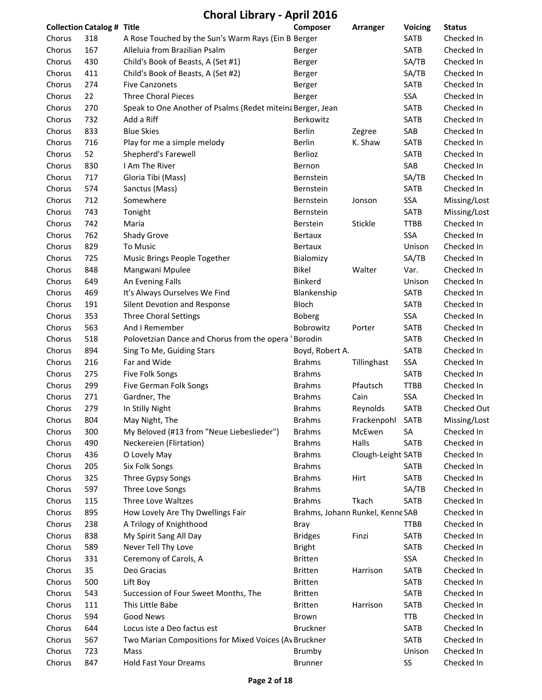|        | <b>Collection Catalog # Title</b> |                                                            | Composer                         | Arranger           | <b>Voicing</b> | <b>Status</b>            |
|--------|-----------------------------------|------------------------------------------------------------|----------------------------------|--------------------|----------------|--------------------------|
| Chorus | 318                               | A Rose Touched by the Sun's Warm Rays (Ein B Berger        |                                  |                    | SATB           | Checked In               |
| Chorus | 167                               | Alleluia from Brazilian Psalm                              | Berger                           |                    | SATB           | Checked In               |
| Chorus | 430                               | Child's Book of Beasts, A (Set #1)                         | Berger                           |                    | SA/TB          | Checked In               |
| Chorus | 411                               | Child's Book of Beasts, A (Set #2)                         | Berger                           |                    | SA/TB          | Checked In               |
| Chorus | 274                               | <b>Five Canzonets</b>                                      | Berger                           |                    | <b>SATB</b>    | Checked In               |
| Chorus | 22                                | <b>Three Choral Pieces</b>                                 | Berger                           |                    | SSA            | Checked In               |
| Chorus | 270                               | Speak to One Another of Psalms (Redet miteina Berger, Jean |                                  |                    | SATB           | Checked In               |
| Chorus | 732                               | Add a Riff                                                 | Berkowitz                        |                    | <b>SATB</b>    | Checked In               |
| Chorus | 833                               | <b>Blue Skies</b>                                          | <b>Berlin</b>                    | Zegree             | SAB            | Checked In               |
| Chorus | 716                               | Play for me a simple melody                                | Berlin                           | K. Shaw            | SATB           | Checked In               |
| Chorus | 52                                | Shepherd's Farewell                                        | Berlioz                          |                    | <b>SATB</b>    | Checked In               |
| Chorus | 830                               | I Am The River                                             | Bernon                           |                    | SAB            | Checked In               |
| Chorus | 717                               | Gloria Tibi (Mass)                                         | Bernstein                        |                    | SA/TB          | Checked In               |
| Chorus | 574                               | Sanctus (Mass)                                             | Bernstein                        |                    | SATB           | Checked In               |
| Chorus | 712                               | Somewhere                                                  | Bernstein                        | Jonson             | SSA            | Missing/Lost             |
| Chorus | 743                               | Tonight                                                    | Bernstein                        |                    | <b>SATB</b>    | Missing/Lost             |
| Chorus | 742                               | Maria                                                      | Berstein                         | Stickle            | <b>TTBB</b>    | Checked In               |
| Chorus | 762                               | Shady Grove                                                | Bertaux                          |                    | SSA            | Checked In               |
| Chorus | 829                               | <b>To Music</b>                                            | <b>Bertaux</b>                   |                    | Unison         | Checked In               |
| Chorus | 725                               | Music Brings People Together                               | Bialomizy                        |                    | SA/TB          | Checked In               |
| Chorus | 848                               | Mangwani Mpulee                                            | <b>Bikel</b>                     | Walter             | Var.           | Checked In               |
| Chorus | 649                               | An Evening Falls                                           | Binkerd                          |                    | Unison         | Checked In               |
| Chorus | 469                               | It's Always Ourselves We Find                              | Blankenship                      |                    | SATB           | Checked In               |
| Chorus | 191                               | Silent Devotion and Response                               | Bloch                            |                    | <b>SATB</b>    | Checked In               |
| Chorus | 353                               | <b>Three Choral Settings</b>                               | <b>Boberg</b>                    |                    | SSA            | Checked In               |
| Chorus | 563                               | And I Remember                                             | Bobrowitz                        | Porter             | <b>SATB</b>    | Checked In               |
| Chorus | 518                               | Polovetzian Dance and Chorus from the opera 'Borodin       |                                  |                    | <b>SATB</b>    | Checked In               |
| Chorus | 894                               | Sing To Me, Guiding Stars                                  | Boyd, Robert A.                  |                    | SATB           | Checked In               |
| Chorus | 216                               | Far and Wide                                               | <b>Brahms</b>                    | Tillinghast        | SSA            | Checked In               |
| Chorus | 275                               | Five Folk Songs                                            | <b>Brahms</b>                    |                    | <b>SATB</b>    | Checked In               |
| Chorus | 299                               | Five German Folk Songs                                     | <b>Brahms</b>                    | Pfautsch           | <b>TTBB</b>    | Checked In               |
| Chorus | 271                               | Gardner, The                                               | <b>Brahms</b>                    | Cain               | SSA            | Checked In               |
| Chorus | 279                               | In Stilly Night                                            | <b>Brahms</b>                    | Reynolds           | <b>SATB</b>    | Checked Out              |
| Chorus | 804                               | May Night, The                                             | <b>Brahms</b>                    | Frackenpohl SATB   |                | Missing/Lost             |
| Chorus | 300                               | My Beloved (#13 from "Neue Liebeslieder")                  | <b>Brahms</b>                    | McEwen             | SА             | Checked In               |
| Chorus | 490                               | Neckereien (Flirtation)                                    | <b>Brahms</b>                    | Halls              | SATB           | Checked In               |
| Chorus | 436                               | O Lovely May                                               | <b>Brahms</b>                    | Clough-Leight SATB |                | Checked In               |
| Chorus | 205                               | Six Folk Songs                                             | <b>Brahms</b>                    |                    | <b>SATB</b>    | Checked In               |
|        | 325                               |                                                            | <b>Brahms</b>                    |                    | SATB           | Checked In               |
| Chorus |                                   | Three Gypsy Songs                                          | <b>Brahms</b>                    | Hirt               |                | Checked In               |
| Chorus | 597                               | Three Love Songs                                           |                                  |                    | SA/TB          |                          |
| Chorus | 115                               | Three Love Waltzes                                         | <b>Brahms</b>                    | Tkach              | SATB           | Checked In<br>Checked In |
| Chorus | 895                               | How Lovely Are Thy Dwellings Fair                          | Brahms, Johann Runkel, Kenne SAB |                    |                |                          |
| Chorus | 238                               | A Trilogy of Knighthood                                    | <b>Bray</b>                      |                    | <b>TTBB</b>    | Checked In               |
| Chorus | 838                               | My Spirit Sang All Day                                     | <b>Bridges</b>                   | Finzi              | SATB           | Checked In               |
| Chorus | 589                               | Never Tell Thy Love                                        | <b>Bright</b>                    |                    | <b>SATB</b>    | Checked In               |
| Chorus | 331                               | Ceremony of Carols, A                                      | <b>Britten</b>                   |                    | SSA            | Checked In               |
| Chorus | 35                                | Deo Gracias                                                | <b>Britten</b>                   | Harrison           | SATB           | Checked In               |
| Chorus | 500                               | Lift Boy                                                   | <b>Britten</b>                   |                    | SATB           | Checked In               |
| Chorus | 543                               | Succession of Four Sweet Months, The                       | <b>Britten</b>                   |                    | SATB           | Checked In               |
| Chorus | 111                               | This Little Babe                                           | <b>Britten</b>                   | Harrison           | <b>SATB</b>    | Checked In               |
| Chorus | 594                               | Good News                                                  | Brown                            |                    | TTB            | Checked In               |
| Chorus | 644                               | Locus iste a Deo factus est                                | <b>Bruckner</b>                  |                    | SATB           | Checked In               |
| Chorus | 567                               | Two Marian Compositions for Mixed Voices (Av Bruckner      |                                  |                    | SATB           | Checked In               |
| Chorus | 723                               | Mass                                                       | Brumby                           |                    | Unison         | Checked In               |
| Chorus | 847                               | Hold Fast Your Dreams                                      | <b>Brunner</b>                   |                    | SS             | Checked In               |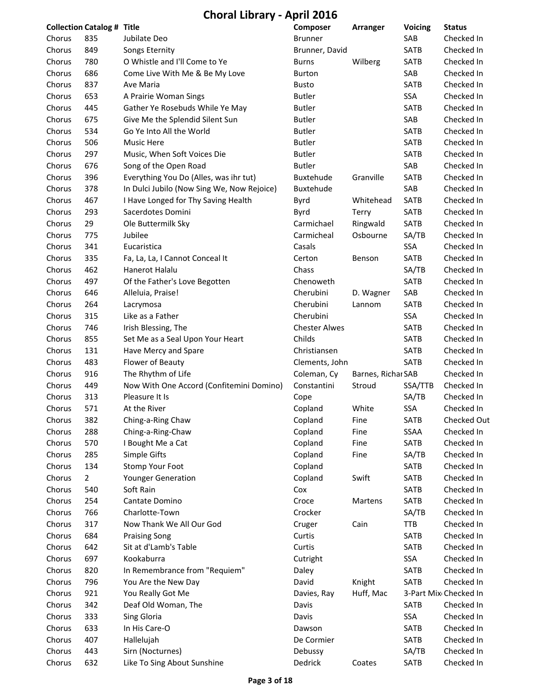**Choral Library ‐ April 2016**

|        | <b>Collection Catalog # Title</b> |                                            | Composer             | Arranger           | <b>Voicing</b> | <b>Status</b>         |
|--------|-----------------------------------|--------------------------------------------|----------------------|--------------------|----------------|-----------------------|
| Chorus | 835                               | Jubilate Deo                               | <b>Brunner</b>       |                    | SAB            | Checked In            |
| Chorus | 849                               | Songs Eternity                             | Brunner, David       |                    | SATB           | Checked In            |
| Chorus | 780                               | O Whistle and I'll Come to Ye              | <b>Burns</b>         | Wilberg            | SATB           | Checked In            |
| Chorus | 686                               | Come Live With Me & Be My Love             | <b>Burton</b>        |                    | SAB            | Checked In            |
| Chorus | 837                               | Ave Maria                                  | <b>Busto</b>         |                    | SATB           | Checked In            |
| Chorus | 653                               | A Prairie Woman Sings                      | <b>Butler</b>        |                    | SSA            | Checked In            |
| Chorus | 445                               | Gather Ye Rosebuds While Ye May            | <b>Butler</b>        |                    | <b>SATB</b>    | Checked In            |
| Chorus | 675                               | Give Me the Splendid Silent Sun            | <b>Butler</b>        |                    | SAB            | Checked In            |
| Chorus | 534                               | Go Ye Into All the World                   | <b>Butler</b>        |                    | SATB           | Checked In            |
| Chorus | 506                               | <b>Music Here</b>                          | <b>Butler</b>        |                    | <b>SATB</b>    | Checked In            |
| Chorus | 297                               | Music, When Soft Voices Die                | <b>Butler</b>        |                    | SATB           | Checked In            |
| Chorus | 676                               | Song of the Open Road                      | <b>Butler</b>        |                    | SAB            | Checked In            |
| Chorus | 396                               | Everything You Do (Alles, was ihr tut)     | Buxtehude            | Granville          | SATB           | Checked In            |
| Chorus | 378                               | In Dulci Jubilo (Now Sing We, Now Rejoice) | Buxtehude            |                    | SAB            | Checked In            |
| Chorus | 467                               | I Have Longed for Thy Saving Health        | Byrd                 | Whitehead          | SATB           | Checked In            |
| Chorus | 293                               | Sacerdotes Domini                          | Byrd                 | Terry              | SATB           | Checked In            |
| Chorus | 29                                | Ole Buttermilk Sky                         | Carmichael           | Ringwald           | SATB           | Checked In            |
| Chorus | 775                               | Jubilee                                    | Carmicheal           | Osbourne           | SA/TB          | Checked In            |
| Chorus | 341                               | Eucaristica                                | Casals               |                    | SSA            | Checked In            |
| Chorus | 335                               | Fa, La, La, I Cannot Conceal It            | Certon               | Benson             | <b>SATB</b>    | Checked In            |
| Chorus | 462                               | Hanerot Halalu                             | Chass                |                    | SA/TB          | Checked In            |
| Chorus | 497                               | Of the Father's Love Begotten              | Chenoweth            |                    | SATB           | Checked In            |
| Chorus | 646                               | Alleluia, Praise!                          | Cherubini            | D. Wagner          | SAB            | Checked In            |
| Chorus | 264                               | Lacrymosa                                  | Cherubini            | Lannom             | SATB           | Checked In            |
| Chorus | 315                               | Like as a Father                           | Cherubini            |                    | SSA            | Checked In            |
| Chorus | 746                               | Irish Blessing, The                        | <b>Chester Alwes</b> |                    | <b>SATB</b>    | Checked In            |
| Chorus | 855                               | Set Me as a Seal Upon Your Heart           | Childs               |                    | SATB           | Checked In            |
| Chorus | 131                               | Have Mercy and Spare                       | Christiansen         |                    | <b>SATB</b>    | Checked In            |
| Chorus | 483                               | Flower of Beauty                           | Clements, John       |                    | <b>SATB</b>    | Checked In            |
| Chorus | 916                               | The Rhythm of Life                         | Coleman, Cy          | Barnes, Richar SAB |                | Checked In            |
| Chorus | 449                               | Now With One Accord (Confitemini Domino)   | Constantini          | Stroud             | SSA/TTB        | Checked In            |
| Chorus | 313                               | Pleasure It Is                             | Cope                 |                    | SA/TB          | Checked In            |
| Chorus | 571                               | At the River                               | Copland              | White              | <b>SSA</b>     | Checked In            |
| Chorus | 382                               | Ching-a-Ring Chaw                          | Copland              | Fine               | <b>SATB</b>    | Checked Out           |
| Chorus | 288                               | Ching-a-Ring-Chaw                          | Copland              | Fine               | SSAA           | Checked In            |
| Chorus | 570                               | I Bought Me a Cat                          | Copland              | Fine               | SATB           | Checked In            |
| Chorus | 285                               | Simple Gifts                               | Copland              | Fine               | SA/TB          | Checked In            |
| Chorus | 134                               | Stomp Your Foot                            | Copland              |                    | SATB           | Checked In            |
| Chorus | $\overline{2}$                    | <b>Younger Generation</b>                  | Copland              | Swift              | SATB           | Checked In            |
| Chorus | 540                               | Soft Rain                                  | Cox                  |                    | SATB           | Checked In            |
| Chorus | 254                               | Cantate Domino                             | Croce                | Martens            | SATB           | Checked In            |
| Chorus | 766                               | Charlotte-Town                             | Crocker              |                    | SA/TB          | Checked In            |
| Chorus | 317                               | Now Thank We All Our God                   | Cruger               | Cain               | <b>TTB</b>     | Checked In            |
| Chorus | 684                               | <b>Praising Song</b>                       | Curtis               |                    | SATB           | Checked In            |
| Chorus | 642                               | Sit at d'Lamb's Table                      | Curtis               |                    | SATB           | Checked In            |
| Chorus | 697                               | Kookaburra                                 | Cutright             |                    | SSA            | Checked In            |
| Chorus | 820                               | In Remembrance from "Requiem"              | Daley                |                    | SATB           | Checked In            |
| Chorus | 796                               | You Are the New Day                        | David                | Knight             | SATB           | Checked In            |
| Chorus | 921                               | You Really Got Me                          | Davies, Ray          | Huff, Mac          |                | 3-Part Mix Checked In |
| Chorus | 342                               | Deaf Old Woman, The                        | Davis                |                    | SATB           | Checked In            |
| Chorus | 333                               | Sing Gloria                                | Davis                |                    | SSA            | Checked In            |
| Chorus | 633                               | In His Care-O                              | Dawson               |                    | SATB           | Checked In            |
| Chorus | 407                               | Hallelujah                                 | De Cormier           |                    | SATB           | Checked In            |
| Chorus | 443                               | Sirn (Nocturnes)                           | Debussy              |                    | SA/TB          | Checked In            |
| Chorus | 632                               | Like To Sing About Sunshine                | Dedrick              | Coates             | SATB           | Checked In            |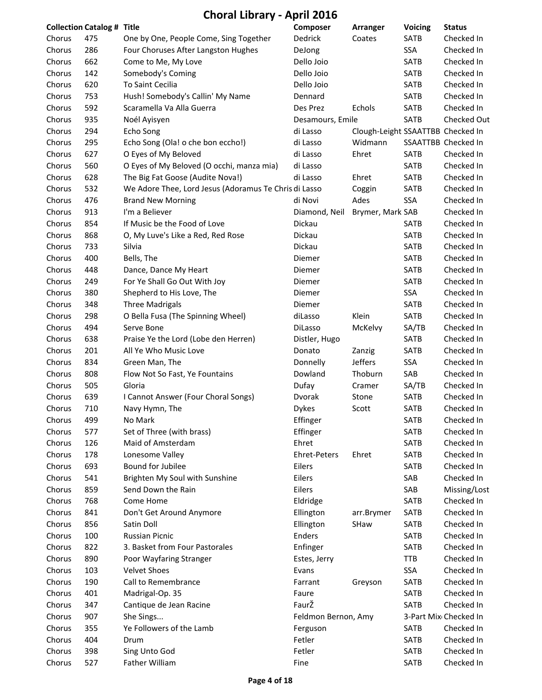| <b>Collection Catalog # Title</b> |     |                                                       | Composer            | Arranger                          | <b>Voicing</b> | <b>Status</b>         |
|-----------------------------------|-----|-------------------------------------------------------|---------------------|-----------------------------------|----------------|-----------------------|
| Chorus                            | 475 | One by One, People Come, Sing Together                | Dedrick             | Coates                            | SATB           | Checked In            |
| Chorus                            | 286 | Four Choruses After Langston Hughes                   | DeJong              |                                   | SSA            | Checked In            |
| Chorus                            | 662 | Come to Me, My Love                                   | Dello Joio          |                                   | SATB           | Checked In            |
| Chorus                            | 142 | Somebody's Coming                                     | Dello Joio          |                                   | SATB           | Checked In            |
| Chorus                            | 620 | To Saint Cecilia                                      | Dello Joio          |                                   | SATB           | Checked In            |
| Chorus                            | 753 | Hush! Somebody's Callin' My Name                      | Dennard             |                                   | SATB           | Checked In            |
| Chorus                            | 592 | Scaramella Va Alla Guerra                             | Des Prez            | Echols                            | SATB           | Checked In            |
| Chorus                            | 935 | Noél Ayisyen                                          | Desamours, Emile    |                                   | SATB           | Checked Out           |
| Chorus                            | 294 | Echo Song                                             | di Lasso            | Clough-Leight SSAATTBB Checked In |                |                       |
| Chorus                            | 295 | Echo Song (Ola! o che bon eccho!)                     | di Lasso            | Widmann                           |                | SSAATTBB Checked In   |
| Chorus                            | 627 | O Eyes of My Beloved                                  | di Lasso            | Ehret                             | <b>SATB</b>    | Checked In            |
| Chorus                            | 560 | O Eyes of My Beloved (O occhi, manza mia)             | di Lasso            |                                   | SATB           | Checked In            |
| Chorus                            | 628 | The Big Fat Goose (Audite Nova!)                      | di Lasso            | Ehret                             | SATB           | Checked In            |
| Chorus                            | 532 | We Adore Thee, Lord Jesus (Adoramus Te Chris di Lasso |                     | Coggin                            | SATB           | Checked In            |
| Chorus                            | 476 | <b>Brand New Morning</b>                              | di Novi             | Ades                              | SSA            | Checked In            |
| Chorus                            | 913 | I'm a Believer                                        | Diamond, Neil       | Brymer, Mark SAB                  |                | Checked In            |
| Chorus                            | 854 | If Music be the Food of Love                          | Dickau              |                                   | <b>SATB</b>    | Checked In            |
| Chorus                            | 868 | O, My Luve's Like a Red, Red Rose                     | <b>Dickau</b>       |                                   | SATB           | Checked In            |
| Chorus                            | 733 | Silvia                                                | Dickau              |                                   | SATB           | Checked In            |
| Chorus                            | 400 | Bells, The                                            | Diemer              |                                   | SATB           | Checked In            |
| Chorus                            | 448 | Dance, Dance My Heart                                 | Diemer              |                                   | SATB           | Checked In            |
| Chorus                            | 249 | For Ye Shall Go Out With Joy                          | Diemer              |                                   | SATB           | Checked In            |
| Chorus                            | 380 | Shepherd to His Love, The                             | Diemer              |                                   | SSA            | Checked In            |
| Chorus                            | 348 | <b>Three Madrigals</b>                                | Diemer              |                                   | SATB           | Checked In            |
| Chorus                            | 298 | O Bella Fusa (The Spinning Wheel)                     | diLasso             | Klein                             | SATB           | Checked In            |
| Chorus                            | 494 | Serve Bone                                            | DiLasso             | McKelvy                           | SA/TB          | Checked In            |
| Chorus                            | 638 | Praise Ye the Lord (Lobe den Herren)                  | Distler, Hugo       |                                   | SATB           | Checked In            |
| Chorus                            | 201 | All Ye Who Music Love                                 | Donato              | Zanzig                            | SATB           | Checked In            |
| Chorus                            | 834 | Green Man, The                                        | Donnelly            | Jeffers                           | SSA            | Checked In            |
| Chorus                            | 808 | Flow Not So Fast, Ye Fountains                        | Dowland             | Thoburn                           | SAB            | Checked In            |
| Chorus                            | 505 | Gloria                                                | Dufay               | Cramer                            | SA/TB          | Checked In            |
| Chorus                            | 639 | I Cannot Answer (Four Choral Songs)                   | Dvorak              | Stone                             | SATB           | Checked In            |
| Chorus                            | 710 | Navy Hymn, The                                        | <b>Dykes</b>        | Scott                             | SATB           | Checked In            |
| Chorus                            | 499 | No Mark                                               | Effinger            |                                   | <b>SATB</b>    | Checked In            |
| Chorus                            | 577 | Set of Three (with brass)                             | Effinger            |                                   | SATB           | Checked In            |
| Chorus                            | 126 | Maid of Amsterdam                                     | Ehret               |                                   | SATB           | Checked In            |
| Chorus                            | 178 | Lonesome Valley                                       | Ehret-Peters        | Ehret                             | SATB           | Checked In            |
| Chorus                            | 693 | Bound for Jubilee                                     | Eilers              |                                   | SATB           | Checked In            |
| Chorus                            | 541 | Brighten My Soul with Sunshine                        | Eilers              |                                   | SAB            | Checked In            |
| Chorus                            | 859 | Send Down the Rain                                    | Eilers              |                                   | SAB            | Missing/Lost          |
| Chorus                            | 768 | Come Home                                             | Eldridge            |                                   | SATB           | Checked In            |
| Chorus                            | 841 | Don't Get Around Anymore                              | Ellington           | arr.Brymer                        | SATB           | Checked In            |
| Chorus                            | 856 | Satin Doll                                            | Ellington           | SHaw                              | SATB           | Checked In            |
| Chorus                            | 100 | Russian Picnic                                        | Enders              |                                   | SATB           | Checked In            |
| Chorus                            | 822 | 3. Basket from Four Pastorales                        | Enfinger            |                                   | <b>SATB</b>    | Checked In            |
| Chorus                            | 890 | Poor Wayfaring Stranger                               | Estes, Jerry        |                                   | <b>TTB</b>     | Checked In            |
| Chorus                            | 103 | <b>Velvet Shoes</b>                                   | Evans               |                                   | SSA            | Checked In            |
| Chorus                            | 190 | Call to Remembrance                                   | Farrant             | Greyson                           | SATB           | Checked In            |
| Chorus                            | 401 | Madrigal-Op. 35                                       | Faure               |                                   | SATB           | Checked In            |
| Chorus                            | 347 | Cantique de Jean Racine                               | FaurŽ               |                                   | SATB           | Checked In            |
| Chorus                            | 907 | She Sings                                             | Feldmon Bernon, Amy |                                   |                | 3-Part Mix Checked In |
| Chorus                            | 355 | Ye Followers of the Lamb                              | Ferguson            |                                   | SATB           | Checked In            |
| Chorus                            | 404 | Drum                                                  | Fetler              |                                   | SATB           | Checked In            |
| Chorus                            | 398 | Sing Unto God                                         | Fetler              |                                   | SATB           | Checked In            |
| Chorus                            | 527 | Father William                                        | Fine                |                                   | SATB           | Checked In            |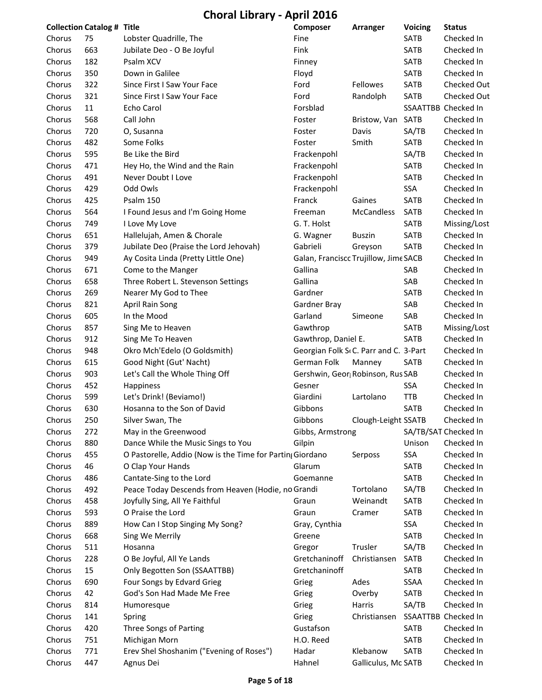|        | <b>Collection Catalog # Title</b> |                                                           | Composer                              | Arranger            | <b>Voicing</b> | <b>Status</b>        |
|--------|-----------------------------------|-----------------------------------------------------------|---------------------------------------|---------------------|----------------|----------------------|
| Chorus | 75                                | Lobster Quadrille, The                                    | Fine                                  |                     | <b>SATB</b>    | Checked In           |
| Chorus | 663                               | Jubilate Deo - O Be Joyful                                | Fink                                  |                     | <b>SATB</b>    | Checked In           |
| Chorus | 182                               | Psalm XCV                                                 | Finney                                |                     | SATB           | Checked In           |
| Chorus | 350                               | Down in Galilee                                           | Floyd                                 |                     | SATB           | Checked In           |
| Chorus | 322                               | Since First I Saw Your Face                               | Ford                                  | Fellowes            | SATB           | Checked Out          |
| Chorus | 321                               | Since First I Saw Your Face                               | Ford                                  | Randolph            | SATB           | Checked Out          |
| Chorus | 11                                | Echo Carol                                                | Forsblad                              |                     |                | SSAATTBB Checked In  |
| Chorus | 568                               | Call John                                                 | Foster                                | Bristow, Van        | SATB           | Checked In           |
| Chorus | 720                               | O, Susanna                                                | Foster                                | Davis               | SA/TB          | Checked In           |
| Chorus | 482                               | Some Folks                                                | Foster                                | Smith               | SATB           | Checked In           |
| Chorus | 595                               | Be Like the Bird                                          | Frackenpohl                           |                     | SA/TB          | Checked In           |
| Chorus | 471                               | Hey Ho, the Wind and the Rain                             | Frackenpohl                           |                     | SATB           | Checked In           |
| Chorus | 491                               | Never Doubt I Love                                        | Frackenpohl                           |                     | <b>SATB</b>    | Checked In           |
| Chorus | 429                               | Odd Owls                                                  | Frackenpohl                           |                     | SSA            | Checked In           |
| Chorus | 425                               | Psalm 150                                                 | Franck                                | Gaines              | SATB           | Checked In           |
| Chorus | 564                               | I Found Jesus and I'm Going Home                          | Freeman                               | McCandless          | <b>SATB</b>    | Checked In           |
| Chorus | 749                               | I Love My Love                                            | G. T. Holst                           |                     | <b>SATB</b>    | Missing/Lost         |
| Chorus | 651                               | Hallelujah, Amen & Chorale                                | G. Wagner                             | <b>Buszin</b>       | <b>SATB</b>    | Checked In           |
| Chorus | 379                               | Jubilate Deo (Praise the Lord Jehovah)                    | Gabrieli                              | Greyson             | <b>SATB</b>    | Checked In           |
| Chorus | 949                               | Ay Cosita Linda (Pretty Little One)                       | Galan, Franciscc Trujillow, Jime SACB |                     |                | Checked In           |
| Chorus | 671                               | Come to the Manger                                        | Gallina                               |                     | SAB            | Checked In           |
| Chorus | 658                               | Three Robert L. Stevenson Settings                        | Gallina                               |                     | SAB            | Checked In           |
| Chorus | 269                               | Nearer My God to Thee                                     | Gardner                               |                     | <b>SATB</b>    | Checked In           |
| Chorus | 821                               | April Rain Song                                           | Gardner Bray                          |                     | SAB            | Checked In           |
| Chorus | 605                               | In the Mood                                               | Garland                               | Simeone             | SAB            | Checked In           |
| Chorus | 857                               | Sing Me to Heaven                                         | Gawthrop                              |                     | SATB           | Missing/Lost         |
| Chorus | 912                               | Sing Me To Heaven                                         | Gawthrop, Daniel E.                   |                     | <b>SATB</b>    | Checked In           |
| Chorus | 948                               | Okro Mch'Edelo (O Goldsmith)                              | Georgian Folk S(C. Parr and C. 3-Part |                     |                | Checked In           |
| Chorus | 615                               | Good Night (Gut' Nacht)                                   | German Folk                           | Manney              | <b>SATB</b>    | Checked In           |
| Chorus | 903                               | Let's Call the Whole Thing Off                            | Gershwin, Geor; Robinson, Rus SAB     |                     |                | Checked In           |
| Chorus | 452                               | Happiness                                                 | Gesner                                |                     | SSA            | Checked In           |
| Chorus | 599                               | Let's Drink! (Beviamo!)                                   | Giardini                              | Lartolano           | <b>TTB</b>     | Checked In           |
| Chorus | 630                               | Hosanna to the Son of David                               | Gibbons                               |                     | SATB           | Checked In           |
| Chorus | 250                               | Silver Swan, The                                          | Gibbons                               | Clough-Leight SSATB |                | Checked In           |
| Chorus | 272                               | May in the Greenwood                                      | Gibbs, Armstrong                      |                     |                | SA/TB/SAT Checked In |
| Chorus | 880                               | Dance While the Music Sings to You                        | Gilpin                                |                     | Unison         | Checked In           |
| Chorus | 455                               | O Pastorelle, Addio (Now is the Time for Partin; Giordano |                                       | Serposs             | SSA            | Checked In           |
| Chorus | 46                                | O Clap Your Hands                                         | Glarum                                |                     | SATB           | Checked In           |
| Chorus | 486                               | Cantate-Sing to the Lord                                  | Goemanne                              |                     | SATB           | Checked In           |
| Chorus | 492                               | Peace Today Descends from Heaven (Hodie, no Grandi        |                                       | Tortolano           | SA/TB          | Checked In           |
| Chorus | 458                               | Joyfully Sing, All Ye Faithful                            | Graun                                 | Weinandt            | SATB           | Checked In           |
| Chorus | 593                               | O Praise the Lord                                         | Graun                                 | Cramer              | SATB           | Checked In           |
| Chorus | 889                               | How Can I Stop Singing My Song?                           | Gray, Cynthia                         |                     | SSA            | Checked In           |
| Chorus | 668                               | Sing We Merrily                                           | Greene                                |                     | SATB           | Checked In           |
| Chorus | 511                               | Hosanna                                                   | Gregor                                | Trusler             | SA/TB          | Checked In           |
| Chorus | 228                               | O Be Joyful, All Ye Lands                                 | Gretchaninoff                         | Christiansen        | SATB           | Checked In           |
| Chorus | 15                                | Only Begotten Son (SSAATTBB)                              | Gretchaninoff                         |                     | SATB           | Checked In           |
| Chorus | 690                               | Four Songs by Edvard Grieg                                | Grieg                                 | Ades                | SSAA           | Checked In           |
| Chorus | 42                                | God's Son Had Made Me Free                                | Grieg                                 | Overby              | SATB           | Checked In           |
| Chorus | 814                               | Humoresque                                                | Grieg                                 | Harris              | SA/TB          | Checked In           |
| Chorus | 141                               | Spring                                                    | Grieg                                 | Christiansen        |                | SSAATTBB Checked In  |
| Chorus | 420                               | Three Songs of Parting                                    | Gustafson                             |                     | SATB           | Checked In           |
| Chorus | 751                               | Michigan Morn                                             | H.O. Reed                             |                     | SATB           | Checked In           |
| Chorus | 771                               | Erev Shel Shoshanim ("Evening of Roses")                  | Hadar                                 | Klebanow            | SATB           | Checked In           |
| Chorus | 447                               | Agnus Dei                                                 | Hahnel                                | Galliculus, Mc SATB |                | Checked In           |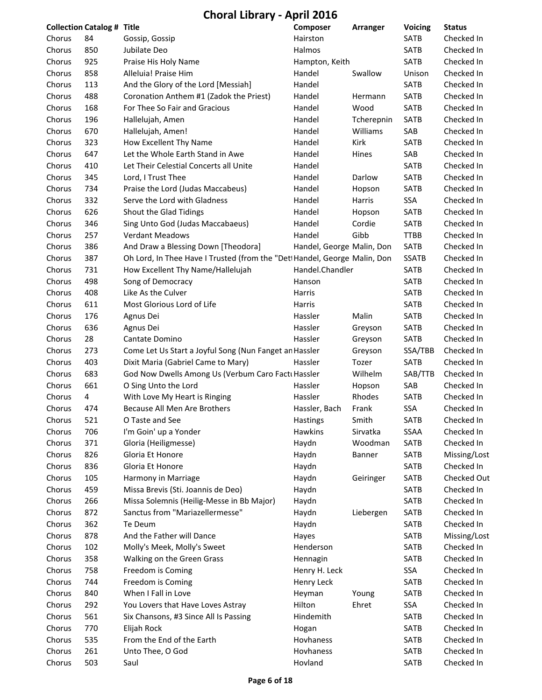**Choral Library ‐ April 2016**

|        | <b>Collection Catalog # Title</b> |                                                                          | Composer                  | Arranger   | <b>Voicing</b> | <b>Status</b> |
|--------|-----------------------------------|--------------------------------------------------------------------------|---------------------------|------------|----------------|---------------|
| Chorus | 84                                | Gossip, Gossip                                                           | Hairston                  |            | <b>SATB</b>    | Checked In    |
| Chorus | 850                               | Jubilate Deo                                                             | Halmos                    |            | <b>SATB</b>    | Checked In    |
| Chorus | 925                               | Praise His Holy Name                                                     | Hampton, Keith            |            | SATB           | Checked In    |
| Chorus | 858                               | Alleluia! Praise Him                                                     | Handel                    | Swallow    | Unison         | Checked In    |
| Chorus | 113                               | And the Glory of the Lord [Messiah]                                      | Handel                    |            | <b>SATB</b>    | Checked In    |
| Chorus | 488                               | Coronation Anthem #1 (Zadok the Priest)                                  | Handel                    | Hermann    | SATB           | Checked In    |
| Chorus | 168                               | For Thee So Fair and Gracious                                            | Handel                    | Wood       | SATB           | Checked In    |
| Chorus | 196                               | Hallelujah, Amen                                                         | Handel                    | Tcherepnin | <b>SATB</b>    | Checked In    |
| Chorus | 670                               | Hallelujah, Amen!                                                        | Handel                    | Williams   | SAB            | Checked In    |
| Chorus | 323                               | How Excellent Thy Name                                                   | Handel                    | Kirk       | <b>SATB</b>    | Checked In    |
| Chorus | 647                               | Let the Whole Earth Stand in Awe                                         | Handel                    | Hines      | SAB            | Checked In    |
| Chorus | 410                               | Let Their Celestial Concerts all Unite                                   | Handel                    |            | <b>SATB</b>    | Checked In    |
| Chorus | 345                               | Lord, I Trust Thee                                                       | Handel                    | Darlow     | SATB           | Checked In    |
| Chorus | 734                               | Praise the Lord (Judas Maccabeus)                                        | Handel                    | Hopson     | SATB           | Checked In    |
| Chorus | 332                               | Serve the Lord with Gladness                                             | Handel                    | Harris     | SSA            | Checked In    |
| Chorus | 626                               | Shout the Glad Tidings                                                   | Handel                    | Hopson     | SATB           | Checked In    |
| Chorus | 346                               | Sing Unto God (Judas Maccabaeus)                                         | Handel                    | Cordie     | SATB           | Checked In    |
| Chorus | 257                               | <b>Verdant Meadows</b>                                                   | Handel                    | Gibb       | <b>TTBB</b>    | Checked In    |
| Chorus | 386                               | And Draw a Blessing Down [Theodora]                                      | Handel, George Malin, Don |            | <b>SATB</b>    | Checked In    |
| Chorus | 387                               | Oh Lord, In Thee Have I Trusted (from the "Det Handel, George Malin, Don |                           |            | <b>SSATB</b>   | Checked In    |
| Chorus | 731                               | How Excellent Thy Name/Hallelujah                                        | Handel.Chandler           |            | SATB           | Checked In    |
| Chorus | 498                               | Song of Democracy                                                        | Hanson                    |            | <b>SATB</b>    | Checked In    |
| Chorus | 408                               | Like As the Culver                                                       | Harris                    |            | SATB           | Checked In    |
| Chorus | 611                               | Most Glorious Lord of Life                                               | Harris                    |            | SATB           | Checked In    |
| Chorus | 176                               | Agnus Dei                                                                | Hassler                   | Malin      | <b>SATB</b>    | Checked In    |
| Chorus | 636                               | Agnus Dei                                                                | Hassler                   | Greyson    | SATB           | Checked In    |
| Chorus | 28                                | Cantate Domino                                                           | Hassler                   | Greyson    | SATB           | Checked In    |
| Chorus | 273                               | Come Let Us Start a Joyful Song (Nun Fanget an Hassler                   |                           | Greyson    | SSA/TBB        | Checked In    |
| Chorus | 403                               | Dixit Maria (Gabriel Came to Mary)                                       | Hassler                   | Tozer      | <b>SATB</b>    | Checked In    |
| Chorus | 683                               | God Now Dwells Among Us (Verbum Caro Facti Hassler                       |                           | Wilhelm    | SAB/TTB        | Checked In    |
| Chorus | 661                               | O Sing Unto the Lord                                                     | Hassler                   | Hopson     | SAB            | Checked In    |
| Chorus | 4                                 | With Love My Heart is Ringing                                            | Hassler                   | Rhodes     | SATB           | Checked In    |
| Chorus | 474                               | Because All Men Are Brothers                                             | Hassler, Bach             | Frank      | <b>SSA</b>     | Checked In    |
| Chorus | 521                               | O Taste and See                                                          | Hastings                  | Smith      | SATB           | Checked In    |
| Chorus | 706                               | I'm Goin' up a Yonder                                                    | Hawkins                   | Sirvatka   | SSAA           | Checked In    |
| Chorus | 371                               | Gloria (Heiligmesse)                                                     | Haydn                     | Woodman    | SATB           | Checked In    |
| Chorus | 826                               | Gloria Et Honore                                                         | Haydn                     | Banner     | SATB           | Missing/Lost  |
| Chorus | 836                               | Gloria Et Honore                                                         | Haydn                     |            | SATB           | Checked In    |
| Chorus | 105                               | Harmony in Marriage                                                      | Haydn                     | Geiringer  | SATB           | Checked Out   |
| Chorus | 459                               | Missa Brevis (Sti. Joannis de Deo)                                       | Haydn                     |            | SATB           | Checked In    |
| Chorus | 266                               | Missa Solemnis (Heilig-Messe in Bb Major)                                | Haydn                     |            | SATB           | Checked In    |
| Chorus | 872                               | Sanctus from "Mariazellermesse"                                          | Haydn                     | Liebergen  | SATB           | Checked In    |
| Chorus | 362                               | Te Deum                                                                  | Haydn                     |            | SATB           | Checked In    |
| Chorus | 878                               | And the Father will Dance                                                | Hayes                     |            | SATB           | Missing/Lost  |
| Chorus | 102                               | Molly's Meek, Molly's Sweet                                              | Henderson                 |            | SATB           | Checked In    |
| Chorus | 358                               | Walking on the Green Grass                                               | Hennagin                  |            | SATB           | Checked In    |
| Chorus | 758                               | Freedom is Coming                                                        | Henry H. Leck             |            | SSA            | Checked In    |
| Chorus | 744                               | Freedom is Coming                                                        | Henry Leck                |            | SATB           | Checked In    |
| Chorus | 840                               | When I Fall in Love                                                      | Heyman                    | Young      | SATB           | Checked In    |
| Chorus | 292                               | You Lovers that Have Loves Astray                                        | Hilton                    | Ehret      | SSA            | Checked In    |
| Chorus | 561                               | Six Chansons, #3 Since All Is Passing                                    | Hindemith                 |            | SATB           | Checked In    |
| Chorus | 770                               | Elijah Rock                                                              | Hogan                     |            | SATB           | Checked In    |
| Chorus | 535                               | From the End of the Earth                                                | Hovhaness                 |            | SATB           | Checked In    |
| Chorus | 261                               | Unto Thee, O God                                                         | Hovhaness                 |            | SATB           | Checked In    |
| Chorus | 503                               |                                                                          | Hovland                   |            | SATB           |               |
|        |                                   | Saul                                                                     |                           |            |                | Checked In    |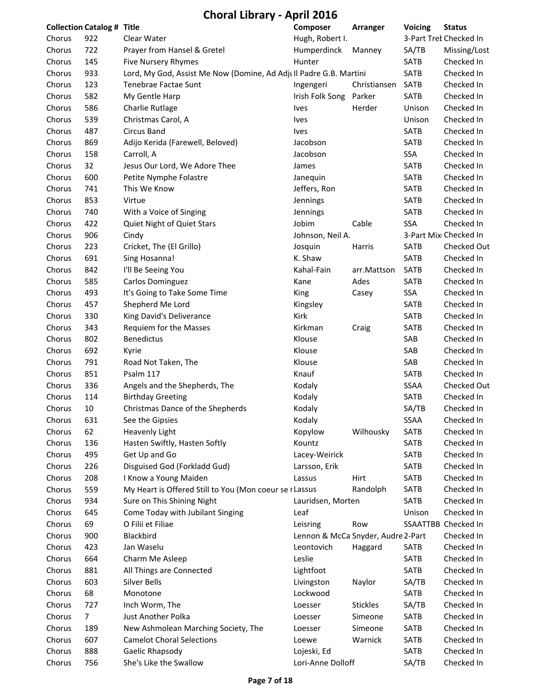|        | <b>Collection Catalog # Title</b> |                                                                   | Composer                                         | Arranger        | <b>Voicing</b> | <b>Status</b>          |
|--------|-----------------------------------|-------------------------------------------------------------------|--------------------------------------------------|-----------------|----------------|------------------------|
| Chorus | 922                               | Clear Water                                                       | Hugh, Robert I.                                  |                 |                | 3-Part Trek Checked In |
| Chorus | 722                               | Prayer from Hansel & Gretel                                       | Humperdinck                                      | Manney          | SA/TB          | Missing/Lost           |
| Chorus | 145                               | Five Nursery Rhymes                                               | Hunter                                           |                 | SATB           | Checked In             |
| Chorus | 933                               | Lord, My God, Assist Me Now (Domine, Ad Adjull Padre G.B. Martini |                                                  |                 | <b>SATB</b>    | Checked In             |
| Chorus | 123                               | Tenebrae Factae Sunt                                              | Ingengeri                                        | Christiansen    | <b>SATB</b>    | Checked In             |
| Chorus | 582                               | My Gentle Harp                                                    | Irish Folk Song                                  | Parker          | SATB           | Checked In             |
| Chorus | 586                               | Charlie Rutlage                                                   | <b>Ives</b>                                      | Herder          | Unison         | Checked In             |
| Chorus | 539                               | Christmas Carol, A                                                | <b>Ives</b>                                      |                 | Unison         | Checked In             |
| Chorus | 487                               | Circus Band                                                       | <b>Ives</b>                                      |                 | <b>SATB</b>    | Checked In             |
| Chorus | 869                               | Adijo Kerida (Farewell, Beloved)                                  | Jacobson                                         |                 | SATB           | Checked In             |
| Chorus | 158                               | Carroll, A                                                        | Jacobson                                         |                 | SSA            | Checked In             |
| Chorus | 32                                | Jesus Our Lord, We Adore Thee                                     | James                                            |                 | SATB           | Checked In             |
| Chorus | 600                               | Petite Nymphe Folastre                                            | Janequin                                         |                 | SATB           | Checked In             |
| Chorus | 741                               | This We Know                                                      | Jeffers, Ron                                     |                 | SATB           | Checked In             |
| Chorus | 853                               | Virtue                                                            | Jennings                                         |                 | SATB           | Checked In             |
| Chorus | 740                               | With a Voice of Singing                                           | Jennings                                         |                 | SATB           | Checked In             |
| Chorus | 422                               | Quiet Night of Quiet Stars                                        | Jobim                                            | Cable           | <b>SSA</b>     | Checked In             |
| Chorus | 906                               | Cindy                                                             | Johnson, Neil A.                                 |                 |                | 3-Part Mix Checked In  |
| Chorus | 223                               | Cricket, The (El Grillo)                                          | Josquin                                          | Harris          | SATB           | Checked Out            |
| Chorus | 691                               | Sing Hosanna!                                                     | K. Shaw                                          |                 | <b>SATB</b>    | Checked In             |
| Chorus | 842                               | I'll Be Seeing You                                                | Kahal-Fain                                       | arr.Mattson     | SATB           | Checked In             |
| Chorus | 585                               | Carlos Dominguez                                                  | Kane                                             | Ades            | SATB           | Checked In             |
| Chorus | 493                               | It's Going to Take Some Time                                      | King                                             | Casey           | SSA            | Checked In             |
| Chorus | 457                               | Shepherd Me Lord                                                  | Kingsley                                         |                 | SATB           | Checked In             |
| Chorus | 330                               | King David's Deliverance                                          | Kirk                                             |                 | SATB           | Checked In             |
| Chorus | 343                               | Requiem for the Masses                                            | Kirkman                                          | Craig           | SATB           | Checked In             |
| Chorus | 802                               | <b>Benedictus</b>                                                 | Klouse                                           |                 | SAB            | Checked In             |
| Chorus | 692                               | Kyrie                                                             | Klouse                                           |                 | SAB            | Checked In             |
| Chorus | 791                               | Road Not Taken, The                                               | Klouse                                           |                 | SAB            | Checked In             |
| Chorus | 851                               | Psalm 117                                                         | Knauf                                            |                 | SATB           | Checked In             |
| Chorus | 336                               | Angels and the Shepherds, The                                     | Kodaly                                           |                 | SSAA           | Checked Out            |
| Chorus | 114                               | <b>Birthday Greeting</b>                                          | Kodaly                                           |                 | SATB           | Checked In             |
| Chorus | 10                                | Christmas Dance of the Shepherds                                  | Kodaly                                           |                 | SA/TB          | Checked In             |
| Chorus | 631                               | See the Gipsies                                                   | Kodaly                                           |                 | SSAA           | Checked In             |
| Chorus | 62                                | Heavenly Light                                                    | Kopylow                                          | Wilhousky       | SATB           | Checked In             |
| Chorus | 136                               | Hasten Swiftly, Hasten Softly                                     | Kountz                                           |                 | SATB           | Checked In             |
| Chorus | 495                               | Get Up and Go                                                     | Lacey-Weirick                                    |                 | SATB           | Checked In             |
| Chorus | 226                               | Disguised God (Forkladd Gud)                                      | Larsson, Erik                                    |                 | SATB           | Checked In             |
| Chorus | 208                               | I Know a Young Maiden                                             | Lassus                                           | Hirt            | <b>SATB</b>    | Checked In             |
| Chorus | 559                               | My Heart is Offered Still to You (Mon coeur se I Lassus           |                                                  | Randolph        | SATB           | Checked In             |
| Chorus | 934                               | Sure on This Shining Night                                        | Lauridsen, Morten                                |                 | SATB           | Checked In             |
| Chorus | 645                               | Come Today with Jubilant Singing                                  | Leaf                                             |                 | Unison         | Checked In             |
| Chorus | 69                                | O Filii et Filiae                                                 | Leisring                                         | Row             |                | SSAATTBB Checked In    |
|        | 900                               | Blackbird                                                         |                                                  |                 |                | Checked In             |
| Chorus |                                   |                                                                   | Lennon & McCa Snyder, Audre 2-Part<br>Leontovich |                 |                |                        |
| Chorus | 423                               | Jan Waselu                                                        |                                                  | Haggard         | SATB           | Checked In             |
| Chorus | 664                               | Charm Me Asleep                                                   | Leslie                                           |                 | SATB           | Checked In             |
| Chorus | 881                               | All Things are Connected                                          | Lightfoot                                        |                 | SATB           | Checked In             |
| Chorus | 603                               | Silver Bells                                                      | Livingston                                       | Naylor          | SA/TB          | Checked In             |
| Chorus | 68                                | Monotone                                                          | Lockwood                                         |                 | SATB           | Checked In             |
| Chorus | 727                               | Inch Worm, The                                                    | Loesser                                          | <b>Stickles</b> | SA/TB          | Checked In             |
| Chorus | $\overline{7}$                    | Just Another Polka                                                | Loesser                                          | Simeone         | SATB           | Checked In             |
| Chorus | 189                               | New Ashmolean Marching Society, The                               | Loesser                                          | Simeone         | SATB           | Checked In             |
| Chorus | 607                               | <b>Camelot Choral Selections</b>                                  | Loewe                                            | Warnick         | SATB           | Checked In             |
| Chorus | 888                               | Gaelic Rhapsody                                                   | Lojeski, Ed                                      |                 | SATB           | Checked In             |
| Chorus | 756                               | She's Like the Swallow                                            | Lori-Anne Dolloff                                |                 | SA/TB          | Checked In             |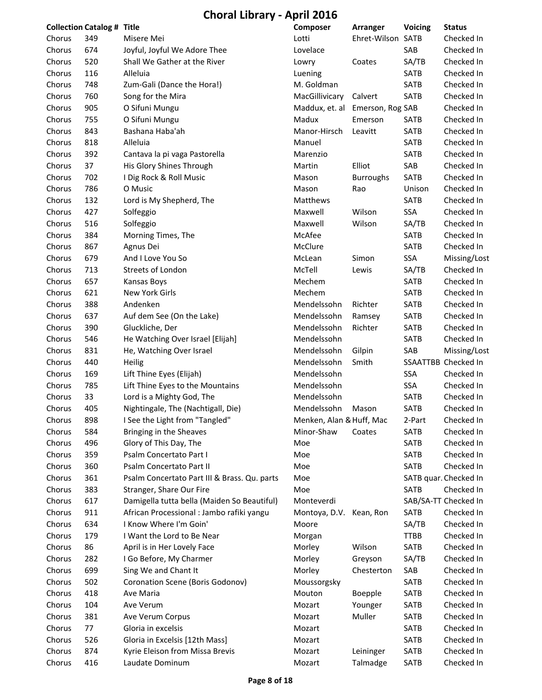|        | <b>Collection Catalog # Title</b> |                                              | Composer                        | <b>Arranger</b>   | Voicing     | <b>Status</b>         |
|--------|-----------------------------------|----------------------------------------------|---------------------------------|-------------------|-------------|-----------------------|
| Chorus | 349                               | Misere Mei                                   | Lotti                           | Ehret-Wilson SATB |             | Checked In            |
| Chorus | 674                               | Joyful, Joyful We Adore Thee                 | Lovelace                        |                   | SAB         | Checked In            |
| Chorus | 520                               | Shall We Gather at the River                 | Lowry                           | Coates            | SA/TB       | Checked In            |
| Chorus | 116                               | Alleluia                                     | Luening                         |                   | SATB        | Checked In            |
| Chorus | 748                               | Zum-Gali (Dance the Hora!)                   | M. Goldman                      |                   | SATB        | Checked In            |
| Chorus | 760                               | Song for the Mira                            | MacGillivicary                  | Calvert           | SATB        | Checked In            |
| Chorus | 905                               | O Sifuni Mungu                               | Maddux, et. al Emerson, Rog SAB |                   |             | Checked In            |
| Chorus | 755                               | O Sifuni Mungu                               | Madux                           | Emerson           | SATB        | Checked In            |
| Chorus | 843                               | Bashana Haba'ah                              | Manor-Hirsch                    | Leavitt           | SATB        | Checked In            |
| Chorus | 818                               | Alleluia                                     | Manuel                          |                   | SATB        | Checked In            |
| Chorus | 392                               | Cantava la pi vaga Pastorella                | Marenzio                        |                   | SATB        | Checked In            |
| Chorus | 37                                | His Glory Shines Through                     | Martin                          | Elliot            | SAB         | Checked In            |
| Chorus | 702                               | I Dig Rock & Roll Music                      | Mason                           | <b>Burroughs</b>  | SATB        | Checked In            |
| Chorus | 786                               | O Music                                      | Mason                           | Rao               | Unison      | Checked In            |
| Chorus | 132                               | Lord is My Shepherd, The                     | Matthews                        |                   | SATB        | Checked In            |
| Chorus | 427                               | Solfeggio                                    | Maxwell                         | Wilson            | SSA         | Checked In            |
| Chorus | 516                               | Solfeggio                                    | Maxwell                         | Wilson            | SA/TB       | Checked In            |
| Chorus | 384                               | Morning Times, The                           | McAfee                          |                   | SATB        | Checked In            |
| Chorus | 867                               | Agnus Dei                                    | McClure                         |                   | SATB        | Checked In            |
| Chorus | 679                               | And I Love You So                            | McLean                          | Simon             | SSA         | Missing/Lost          |
| Chorus | 713                               | Streets of London                            | McTell                          | Lewis             | SA/TB       | Checked In            |
| Chorus | 657                               | Kansas Boys                                  | Mechem                          |                   | SATB        | Checked In            |
| Chorus | 621                               | New York Girls                               | Mechem                          |                   | SATB        | Checked In            |
| Chorus | 388                               | Andenken                                     | Mendelssohn                     | Richter           | SATB        | Checked In            |
| Chorus | 637                               | Auf dem See (On the Lake)                    | Mendelssohn                     | Ramsey            | SATB        | Checked In            |
| Chorus | 390                               | Gluckliche, Der                              | Mendelssohn                     | Richter           | SATB        | Checked In            |
| Chorus | 546                               | He Watching Over Israel [Elijah]             | Mendelssohn                     |                   | SATB        | Checked In            |
| Chorus | 831                               | He, Watching Over Israel                     | Mendelssohn                     | Gilpin            | SAB         | Missing/Lost          |
| Chorus | 440                               | <b>Heilig</b>                                | Mendelssohn                     | Smith             |             | SSAATTBB Checked In   |
| Chorus | 169                               | Lift Thine Eyes (Elijah)                     | Mendelssohn                     |                   | SSA         | Checked In            |
| Chorus | 785                               | Lift Thine Eyes to the Mountains             | Mendelssohn                     |                   | SSA         | Checked In            |
| Chorus | 33                                | Lord is a Mighty God, The                    | Mendelssohn                     |                   | SATB        | Checked In            |
| Chorus | 405                               | Nightingale, The (Nachtigall, Die)           | Mendelssohn                     | Mason             | SATB        | Checked In            |
| Chorus | 898                               | I See the Light from "Tangled"               | Menken, Alan & Huff, Mac        |                   | 2-Part      | Checked In            |
| Chorus | 584                               | Bringing in the Sheaves                      | Minor-Shaw                      | Coates            | SATB        | Checked In            |
| Chorus | 496                               | Glory of This Day, The                       | Moe                             |                   | SATB        | Checked In            |
| Chorus | 359                               | Psalm Concertato Part I                      | Moe                             |                   | SATB        | Checked In            |
| Chorus | 360                               | Psalm Concertato Part II                     | Moe                             |                   | SATB        | Checked In            |
| Chorus | 361                               | Psalm Concertato Part III & Brass. Qu. parts | Moe                             |                   |             | SATB quar. Checked In |
| Chorus | 383                               | Stranger, Share Our Fire                     | Moe                             |                   | SATB        | Checked In            |
| Chorus | 617                               | Damigella tutta bella (Maiden So Beautiful)  | Monteverdi                      |                   |             | SAB/SA-TT Checked In  |
| Chorus | 911                               | African Processional : Jambo rafiki yangu    | Montoya, D.V.                   | Kean, Ron         | SATB        | Checked In            |
| Chorus | 634                               | I Know Where I'm Goin'                       | Moore                           |                   | SA/TB       | Checked In            |
| Chorus | 179                               | I Want the Lord to Be Near                   | Morgan                          |                   | <b>TTBB</b> | Checked In            |
| Chorus | 86                                | April is in Her Lovely Face                  | Morley                          | Wilson            | SATB        | Checked In            |
| Chorus | 282                               | I Go Before, My Charmer                      | Morley                          | Greyson           | SA/TB       | Checked In            |
| Chorus | 699                               | Sing We and Chant It                         | Morley                          | Chesterton        | SAB         | Checked In            |
| Chorus | 502                               | Coronation Scene (Boris Godonov)             | Moussorgsky                     |                   | SATB        | Checked In            |
| Chorus | 418                               | Ave Maria                                    | Mouton                          | Boepple           | SATB        | Checked In            |
| Chorus | 104                               | Ave Verum                                    | Mozart                          | Younger           | SATB        | Checked In            |
| Chorus | 381                               | Ave Verum Corpus                             | Mozart                          | Muller            | SATB        | Checked In            |
| Chorus | 77                                | Gloria in excelsis                           | Mozart                          |                   | SATB        | Checked In            |
| Chorus | 526                               | Gloria in Excelsis [12th Mass]               | Mozart                          |                   | SATB        | Checked In            |
| Chorus | 874                               | Kyrie Eleison from Missa Brevis              | Mozart                          | Leininger         | SATB        | Checked In            |
| Chorus | 416                               | Laudate Dominum                              | Mozart                          | Talmadge          | SATB        | Checked In            |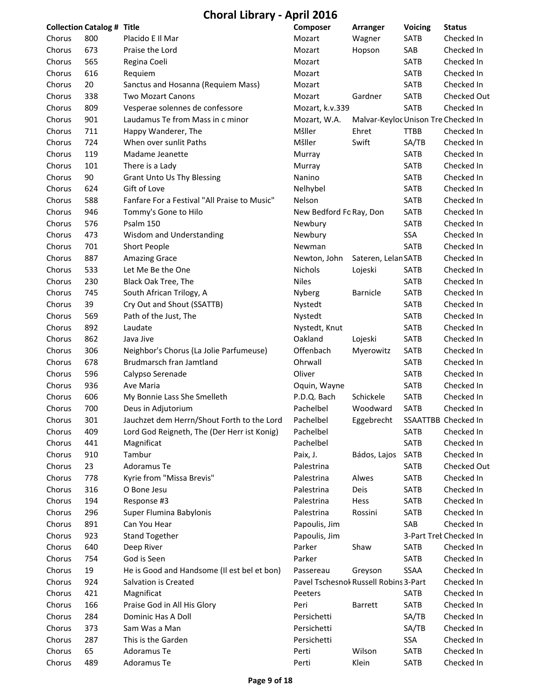**Choral Library ‐ April 2016**

|        | <b>Collection Catalog # Title</b> |                                              | Composer                              | Arranger                            | <b>Voicing</b> | <b>Status</b>          |
|--------|-----------------------------------|----------------------------------------------|---------------------------------------|-------------------------------------|----------------|------------------------|
| Chorus | 800                               | Placido E Il Mar                             | Mozart                                | Wagner                              | <b>SATB</b>    | Checked In             |
| Chorus | 673                               | Praise the Lord                              | Mozart                                | Hopson                              | SAB            | Checked In             |
| Chorus | 565                               | Regina Coeli                                 | Mozart                                |                                     | SATB           | Checked In             |
| Chorus | 616                               | Requiem                                      | Mozart                                |                                     | SATB           | Checked In             |
| Chorus | 20                                | Sanctus and Hosanna (Requiem Mass)           | Mozart                                |                                     | SATB           | Checked In             |
| Chorus | 338                               | <b>Two Mozart Canons</b>                     | Mozart                                | Gardner                             | SATB           | Checked Out            |
| Chorus | 809                               | Vesperae solennes de confessore              | Mozart, k.v.339                       |                                     | SATB           | Checked In             |
| Chorus | 901                               | Laudamus Te from Mass in c minor             | Mozart, W.A.                          | Malvar-Keyloc Unison Tre Checked In |                |                        |
| Chorus | 711                               | Happy Wanderer, The                          | Mšller                                | Ehret                               | <b>TTBB</b>    | Checked In             |
| Chorus | 724                               | When over sunlit Paths                       | Mšller                                | Swift                               | SA/TB          | Checked In             |
| Chorus | 119                               | Madame Jeanette                              | Murray                                |                                     | SATB           | Checked In             |
| Chorus | 101                               | There is a Lady                              | Murray                                |                                     | <b>SATB</b>    | Checked In             |
| Chorus | 90                                | <b>Grant Unto Us Thy Blessing</b>            | Nanino                                |                                     | <b>SATB</b>    | Checked In             |
| Chorus | 624                               | Gift of Love                                 | Nelhybel                              |                                     | SATB           | Checked In             |
| Chorus | 588                               | Fanfare For a Festival "All Praise to Music" | Nelson                                |                                     | SATB           | Checked In             |
| Chorus | 946                               | Tommy's Gone to Hilo                         | New Bedford Fo Ray, Don               |                                     | <b>SATB</b>    | Checked In             |
| Chorus | 576                               | Psalm 150                                    | Newbury                               |                                     | <b>SATB</b>    | Checked In             |
| Chorus | 473                               | Wisdom and Understanding                     | Newbury                               |                                     | SSA            | Checked In             |
| Chorus | 701                               | <b>Short People</b>                          | Newman                                |                                     | <b>SATB</b>    | Checked In             |
| Chorus | 887                               | <b>Amazing Grace</b>                         | Newton, John                          | Sateren, Lelan SATB                 |                | Checked In             |
| Chorus | 533                               | Let Me Be the One                            | Nichols                               | Lojeski                             | SATB           | Checked In             |
| Chorus | 230                               | Black Oak Tree, The                          | <b>Niles</b>                          |                                     | SATB           | Checked In             |
| Chorus | 745                               | South African Trilogy, A                     | Nyberg                                | Barnicle                            | <b>SATB</b>    | Checked In             |
| Chorus | 39                                | Cry Out and Shout (SSATTB)                   | Nystedt                               |                                     | <b>SATB</b>    | Checked In             |
| Chorus | 569                               | Path of the Just, The                        | Nystedt                               |                                     | <b>SATB</b>    | Checked In             |
| Chorus | 892                               | Laudate                                      | Nystedt, Knut                         |                                     | SATB           | Checked In             |
| Chorus | 862                               | Java Jive                                    | Oakland                               | Lojeski                             | SATB           | Checked In             |
| Chorus | 306                               | Neighbor's Chorus (La Jolie Parfumeuse)      | Offenbach                             | Myerowitz                           | <b>SATB</b>    | Checked In             |
| Chorus | 678                               | Brudmarsch fran Jamtland                     | Ohrwall                               |                                     | SATB           | Checked In             |
| Chorus | 596                               | Calypso Serenade                             | Oliver                                |                                     | SATB           | Checked In             |
| Chorus | 936                               | Ave Maria                                    | Oquin, Wayne                          |                                     | <b>SATB</b>    | Checked In             |
| Chorus | 606                               | My Bonnie Lass She Smelleth                  | P.D.Q. Bach                           | Schickele                           | SATB           | Checked In             |
| Chorus | 700                               | Deus in Adjutorium                           | Pachelbel                             | Woodward                            | SATB           | Checked In             |
| Chorus | 301                               | Jauchzet dem Herrn/Shout Forth to the Lord   | Pachelbel                             | Eggebrecht                          |                | SSAATTBB Checked In    |
| Chorus | 409                               | Lord God Reigneth, The (Der Herr ist Konig)  | Pachelbel                             |                                     | SATB           | Checked In             |
| Chorus | 441                               | Magnificat                                   | Pachelbel                             |                                     | SATB           | Checked In             |
| Chorus | 910                               | Tambur                                       | Paix, J.                              | Bádos, Lajos                        | <b>SATB</b>    | Checked In             |
| Chorus | 23                                | Adoramus Te                                  | Palestrina                            |                                     | SATB           | Checked Out            |
| Chorus | 778                               | Kyrie from "Missa Brevis"                    | Palestrina                            | Alwes                               | <b>SATB</b>    | Checked In             |
| Chorus | 316                               | O Bone Jesu                                  | Palestrina                            | Deis                                | SATB           | Checked In             |
| Chorus | 194                               | Response #3                                  | Palestrina                            | Hess                                | SATB           | Checked In             |
| Chorus | 296                               | Super Flumina Babylonis                      | Palestrina                            | Rossini                             | <b>SATB</b>    | Checked In             |
| Chorus | 891                               | Can You Hear                                 | Papoulis, Jim                         |                                     | SAB            | Checked In             |
| Chorus | 923                               | <b>Stand Together</b>                        | Papoulis, Jim                         |                                     |                | 3-Part Trek Checked In |
| Chorus | 640                               | Deep River                                   | Parker                                | Shaw                                | <b>SATB</b>    | Checked In             |
| Chorus | 754                               | God is Seen                                  | Parker                                |                                     | <b>SATB</b>    | Checked In             |
| Chorus | 19                                | He is Good and Handsome (Il est bel et bon)  | Passereau                             | Greyson                             | SSAA           | Checked In             |
| Chorus | 924                               | Salvation is Created                         | Pavel Tschesnok Russell Robins 3-Part |                                     |                | Checked In             |
| Chorus | 421                               | Magnificat                                   | Peeters                               |                                     | SATB           | Checked In             |
| Chorus | 166                               | Praise God in All His Glory                  | Peri                                  | Barrett                             | SATB           | Checked In             |
| Chorus | 284                               | Dominic Has A Doll                           | Persichetti                           |                                     | SA/TB          | Checked In             |
| Chorus | 373                               | Sam Was a Man                                | Persichetti                           |                                     | SA/TB          | Checked In             |
| Chorus | 287                               | This is the Garden                           | Persichetti                           |                                     | SSA            | Checked In             |
| Chorus | 65                                | Adoramus Te                                  | Perti                                 | Wilson                              | SATB           | Checked In             |
| Chorus | 489                               | Adoramus Te                                  | Perti                                 | Klein                               | SATB           | Checked In             |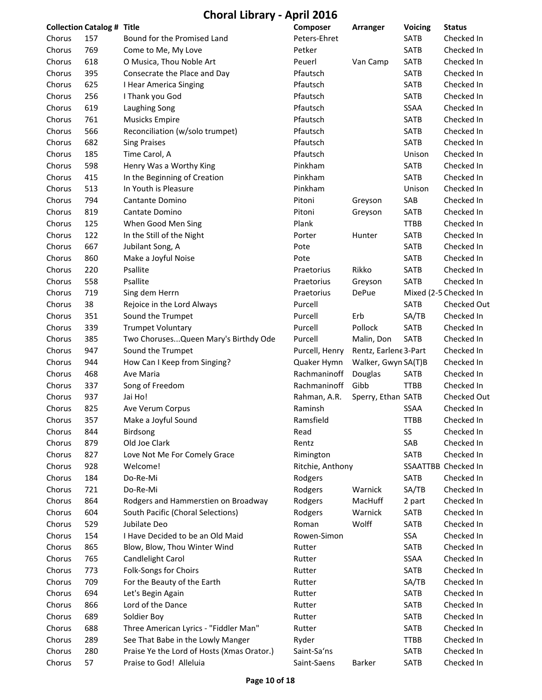|        | <b>Collection Catalog # Title</b> |                                            | Composer         | <b>Arranger</b>       | <b>Voicing</b> | <b>Status</b>         |
|--------|-----------------------------------|--------------------------------------------|------------------|-----------------------|----------------|-----------------------|
| Chorus | 157                               | Bound for the Promised Land                | Peters-Ehret     |                       | SATB           | Checked In            |
| Chorus | 769                               | Come to Me, My Love                        | Petker           |                       | SATB           | Checked In            |
| Chorus | 618                               | O Musica, Thou Noble Art                   | Peuerl           | Van Camp              | <b>SATB</b>    | Checked In            |
| Chorus | 395                               | Consecrate the Place and Day               | Pfautsch         |                       | <b>SATB</b>    | Checked In            |
| Chorus | 625                               | I Hear America Singing                     | Pfautsch         |                       | <b>SATB</b>    | Checked In            |
| Chorus | 256                               | I Thank you God                            | Pfautsch         |                       | SATB           | Checked In            |
| Chorus | 619                               | Laughing Song                              | Pfautsch         |                       | SSAA           | Checked In            |
| Chorus | 761                               | Musicks Empire                             | Pfautsch         |                       | SATB           | Checked In            |
| Chorus | 566                               | Reconciliation (w/solo trumpet)            | Pfautsch         |                       | <b>SATB</b>    | Checked In            |
| Chorus | 682                               | <b>Sing Praises</b>                        | Pfautsch         |                       | SATB           | Checked In            |
| Chorus | 185                               | Time Carol, A                              | Pfautsch         |                       | Unison         | Checked In            |
| Chorus | 598                               | Henry Was a Worthy King                    | Pinkham          |                       | SATB           | Checked In            |
| Chorus | 415                               | In the Beginning of Creation               | Pinkham          |                       | SATB           | Checked In            |
| Chorus | 513                               | In Youth is Pleasure                       | Pinkham          |                       | Unison         | Checked In            |
| Chorus | 794                               | Cantante Domino                            | Pitoni           | Greyson               | SAB            | Checked In            |
| Chorus | 819                               | Cantate Domino                             | Pitoni           | Greyson               | SATB           | Checked In            |
| Chorus | 125                               | When Good Men Sing                         | Plank            |                       | <b>TTBB</b>    | Checked In            |
| Chorus | 122                               | In the Still of the Night                  | Porter           | Hunter                | SATB           | Checked In            |
| Chorus | 667                               | Jubilant Song, A                           | Pote             |                       | SATB           | Checked In            |
| Chorus | 860                               | Make a Joyful Noise                        | Pote             |                       | SATB           | Checked In            |
| Chorus | 220                               | Psallite                                   | Praetorius       | Rikko                 | SATB           | Checked In            |
| Chorus | 558                               | Psallite                                   | Praetorius       | Greyson               | SATB           | Checked In            |
| Chorus | 719                               | Sing dem Herrn                             | Praetorius       | DePue                 |                | Mixed (2-5 Checked In |
| Chorus | 38                                | Rejoice in the Lord Always                 | Purcell          |                       | SATB           | Checked Out           |
| Chorus | 351                               | Sound the Trumpet                          | Purcell          | Erb                   | SA/TB          | Checked In            |
| Chorus | 339                               | <b>Trumpet Voluntary</b>                   | Purcell          | Pollock               | SATB           | Checked In            |
| Chorus | 385                               | Two Choruses Queen Mary's Birthdy Ode      | Purcell          | Malin, Don            | SATB           | Checked In            |
| Chorus | 947                               | Sound the Trumpet                          | Purcell, Henry   | Rentz, Earlene 3-Part |                | Checked In            |
| Chorus | 944                               | How Can I Keep from Singing?               | Quaker Hymn      | Walker, Gwyn SA(T)B   |                | Checked In            |
| Chorus | 468                               | Ave Maria                                  | Rachmaninoff     | Douglas               | SATB           | Checked In            |
| Chorus | 337                               | Song of Freedom                            | Rachmaninoff     | Gibb                  | <b>TTBB</b>    | Checked In            |
| Chorus | 937                               | Jai Ho!                                    | Rahman, A.R.     | Sperry, Ethan SATB    |                | Checked Out           |
| Chorus | 825                               | Ave Verum Corpus                           | Raminsh          |                       | SSAA           | Checked In            |
| Chorus | 357                               | Make a Joyful Sound                        | Ramsfield        |                       | <b>TTBB</b>    | Checked In            |
| Chorus | 844                               | <b>Birdsong</b>                            | Read             |                       | SS             | Checked In            |
| Chorus | 879                               | Old Joe Clark                              | Rentz            |                       | SAB            | Checked In            |
| Chorus | 827                               | Love Not Me For Comely Grace               | Rimington        |                       | SATB           | Checked In            |
| Chorus | 928                               | Welcome!                                   | Ritchie, Anthony |                       |                | SSAATTBB Checked In   |
| Chorus | 184                               | Do-Re-Mi                                   | Rodgers          |                       | <b>SATB</b>    | Checked In            |
| Chorus | 721                               | Do-Re-Mi                                   | Rodgers          | Warnick               | SA/TB          | Checked In            |
| Chorus | 864                               | Rodgers and Hammerstien on Broadway        | Rodgers          | MacHuff               | 2 part         | Checked In            |
| Chorus | 604                               | South Pacific (Choral Selections)          | Rodgers          | Warnick               | SATB           | Checked In            |
| Chorus | 529                               | Jubilate Deo                               | Roman            | Wolff                 | SATB           | Checked In            |
| Chorus | 154                               | I Have Decided to be an Old Maid           | Rowen-Simon      |                       | SSA            | Checked In            |
| Chorus | 865                               | Blow, Blow, Thou Winter Wind               | Rutter           |                       | SATB           | Checked In            |
| Chorus | 765                               | Candlelight Carol                          | Rutter           |                       | <b>SSAA</b>    | Checked In            |
| Chorus | 773                               | Folk-Songs for Choirs                      | Rutter           |                       | SATB           | Checked In            |
| Chorus | 709                               | For the Beauty of the Earth                | Rutter           |                       | SA/TB          | Checked In            |
| Chorus | 694                               | Let's Begin Again                          | Rutter           |                       | SATB           | Checked In            |
| Chorus | 866                               | Lord of the Dance                          | Rutter           |                       | SATB           | Checked In            |
| Chorus | 689                               | Soldier Boy                                | Rutter           |                       | SATB           | Checked In            |
| Chorus | 688                               | Three American Lyrics - "Fiddler Man"      | Rutter           |                       | SATB           | Checked In            |
| Chorus | 289                               | See That Babe in the Lowly Manger          | Ryder            |                       | <b>TTBB</b>    | Checked In            |
| Chorus | 280                               | Praise Ye the Lord of Hosts (Xmas Orator.) | Saint-Sa'ns      |                       | SATB           | Checked In            |
| Chorus | 57                                | Praise to God! Alleluia                    | Saint-Saens      | Barker                | SATB           | Checked In            |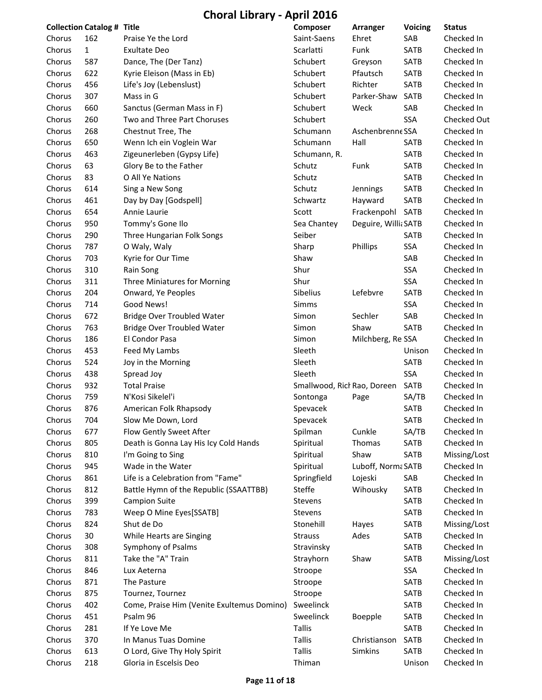|                  | <b>Collection Catalog # Title</b> |                                            | Composer                     | Arranger             | Voicing     | <b>Status</b>            |
|------------------|-----------------------------------|--------------------------------------------|------------------------------|----------------------|-------------|--------------------------|
| Chorus           | 162                               | Praise Ye the Lord                         | Saint-Saens                  | Ehret                | SAB         | Checked In               |
| Chorus           | $\mathbf{1}$                      | <b>Exultate Deo</b>                        | Scarlatti                    | Funk                 | SATB        | Checked In               |
| Chorus           | 587                               | Dance, The (Der Tanz)                      | Schubert                     | Greyson              | <b>SATB</b> | Checked In               |
| Chorus           | 622                               | Kyrie Eleison (Mass in Eb)                 | Schubert                     | Pfautsch             | <b>SATB</b> | Checked In               |
| Chorus           | 456                               | Life's Joy (Lebenslust)                    | Schubert                     | Richter              | SATB        | Checked In               |
| Chorus           | 307                               | Mass in G                                  | Schubert                     | Parker-Shaw          | <b>SATB</b> | Checked In               |
| Chorus           | 660                               | Sanctus (German Mass in F)                 | Schubert                     | Weck                 | SAB         | Checked In               |
| Chorus           | 260                               | Two and Three Part Choruses                | Schubert                     |                      | SSA         | Checked Out              |
| Chorus           | 268                               | Chestnut Tree, The                         | Schumann                     | Aschenbrenne SSA     |             | Checked In               |
| Chorus           | 650                               | Wenn Ich ein Voglein War                   | Schumann                     | Hall                 | SATB        | Checked In               |
| Chorus           | 463                               | Zigeunerleben (Gypsy Life)                 | Schumann, R.                 |                      | SATB        | Checked In               |
| Chorus           | 63                                | Glory Be to the Father                     | Schutz                       | Funk                 | SATB        | Checked In               |
| Chorus           | 83                                | O All Ye Nations                           | Schutz                       |                      | SATB        | Checked In               |
| Chorus           | 614                               | Sing a New Song                            | Schutz                       | Jennings             | SATB        | Checked In               |
| Chorus           | 461                               | Day by Day [Godspell]                      | Schwartz                     | Hayward              | SATB        | Checked In               |
| Chorus           | 654                               | Annie Laurie                               | Scott                        | Frackenpohl          | SATB        | Checked In               |
| Chorus           | 950                               | Tommy's Gone Ilo                           | Sea Chantey                  | Deguire, Willi: SATB |             | Checked In               |
| Chorus           | 290                               | Three Hungarian Folk Songs                 | Seiber                       |                      | SATB        | Checked In               |
| Chorus           | 787                               | O Waly, Waly                               | Sharp                        | Phillips             | SSA         | Checked In               |
| Chorus           | 703                               | Kyrie for Our Time                         | Shaw                         |                      | SAB         | Checked In               |
| Chorus           | 310                               | Rain Song                                  | Shur                         |                      | SSA         | Checked In               |
| Chorus           | 311                               | Three Miniatures for Morning               | Shur                         |                      | SSA         | Checked In               |
| Chorus           | 204                               | Onward, Ye Peoples                         | Sibelius                     | Lefebvre             | SATB        | Checked In               |
| Chorus           | 714                               | Good News!                                 | Simms                        |                      | SSA         | Checked In               |
| Chorus           | 672                               | <b>Bridge Over Troubled Water</b>          | Simon                        | Sechler              | SAB         | Checked In               |
| Chorus           | 763                               | <b>Bridge Over Troubled Water</b>          | Simon                        | Shaw                 | SATB        | Checked In               |
| Chorus           | 186                               | El Condor Pasa                             | Simon                        | Milchberg, Re SSA    |             | Checked In               |
| Chorus           | 453                               | Feed My Lambs                              | Sleeth                       |                      | Unison      | Checked In               |
| Chorus           | 524                               | Joy in the Morning                         | Sleeth                       |                      | SATB        | Checked In               |
| Chorus           | 438                               | Spread Joy                                 | Sleeth                       |                      | SSA         | Checked In               |
| Chorus           | 932                               | <b>Total Praise</b>                        | Smallwood, Rich Rao, Doreen  |                      | SATB        | Checked In               |
| Chorus           | 759                               | N'Kosi Sikelel'i                           | Sontonga                     | Page                 | SA/TB       | Checked In               |
| Chorus           | 876                               | American Folk Rhapsody                     | Spevacek                     |                      | SATB        | Checked In               |
| Chorus           | 704                               | Slow Me Down, Lord                         | Spevacek                     |                      | <b>SATB</b> | Checked In               |
| Chorus           | 677                               | Flow Gently Sweet After                    | Spilman                      | Cunkle               | SA/TB       | Checked In               |
| Chorus           | 805                               | Death is Gonna Lay His Icy Cold Hands      | Spiritual                    | Thomas               | SATB        | Checked In               |
|                  | 810                               | I'm Going to Sing                          |                              | Shaw                 | SATB        | Missing/Lost             |
| Chorus<br>Chorus | 945                               | Wade in the Water                          | Spiritual<br>Spiritual       | Luboff, Norm: SATB   |             | Checked In               |
|                  |                                   |                                            |                              |                      |             |                          |
| Chorus           | 861                               | Life is a Celebration from "Fame"          | Springfield<br><b>Steffe</b> | Lojeski<br>Wihousky  | SAB         | Checked In<br>Checked In |
| Chorus           | 812                               | Battle Hymn of the Republic (SSAATTBB)     |                              |                      | SATB        |                          |
| Chorus           | 399                               | <b>Campion Suite</b>                       | Stevens                      |                      | SATB        | Checked In               |
| Chorus           | 783                               | Weep O Mine Eyes[SSATB]                    | <b>Stevens</b>               |                      | SATB        | Checked In               |
| Chorus           | 824                               | Shut de Do                                 | Stonehill                    | Hayes                | SATB        | Missing/Lost             |
| Chorus           | 30                                | While Hearts are Singing                   | <b>Strauss</b>               | Ades                 | SATB        | Checked In               |
| Chorus           | 308                               | Symphony of Psalms                         | Stravinsky                   |                      | SATB        | Checked In               |
| Chorus           | 811                               | Take the "A" Train                         | Strayhorn                    | Shaw                 | SATB        | Missing/Lost             |
| Chorus           | 846                               | Lux Aeterna                                | Stroope                      |                      | SSA         | Checked In               |
| Chorus           | 871                               | The Pasture                                | Stroope                      |                      | SATB        | Checked In               |
| Chorus           | 875                               | Tournez, Tournez                           | Stroope                      |                      | <b>SATB</b> | Checked In               |
| Chorus           | 402                               | Come, Praise Him (Venite Exultemus Domino) | Sweelinck                    |                      | SATB        | Checked In               |
| Chorus           | 451                               | Psalm 96                                   | Sweelinck                    | <b>Boepple</b>       | SATB        | Checked In               |
| Chorus           | 281                               | If Ye Love Me                              | <b>Tallis</b>                |                      | SATB        | Checked In               |
| Chorus           | 370                               | In Manus Tuas Domine                       | <b>Tallis</b>                | Christianson         | SATB        | Checked In               |
| Chorus           | 613                               | O Lord, Give Thy Holy Spirit               | <b>Tallis</b>                | Simkins              | SATB        | Checked In               |
| Chorus           | 218                               | Gloria in Escelsis Deo                     | Thiman                       |                      | Unison      | Checked In               |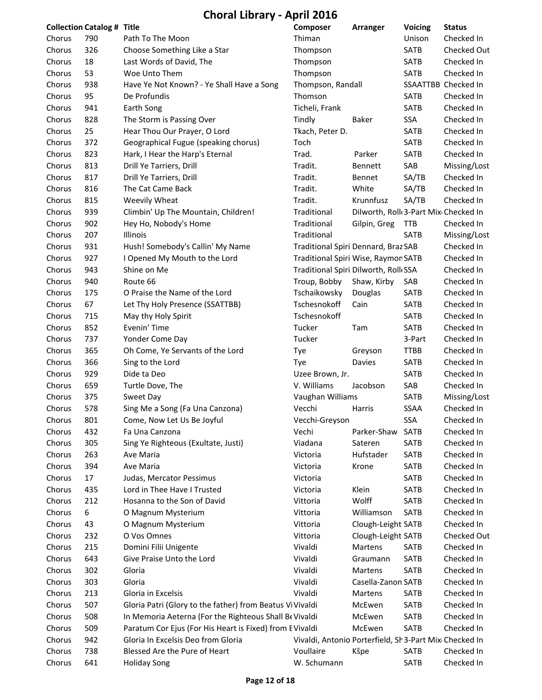|        | <b>Collection Catalog # Title</b> |                                                           | Composer                                               | Arranger                             | <b>Voicing</b> | <b>Status</b>       |
|--------|-----------------------------------|-----------------------------------------------------------|--------------------------------------------------------|--------------------------------------|----------------|---------------------|
| Chorus | 790                               | Path To The Moon                                          | Thiman                                                 |                                      | Unison         | Checked In          |
| Chorus | 326                               | Choose Something Like a Star                              | Thompson                                               |                                      | SATB           | Checked Out         |
| Chorus | 18                                | Last Words of David, The                                  | Thompson                                               |                                      | <b>SATB</b>    | Checked In          |
| Chorus | 53                                | Woe Unto Them                                             | Thompson                                               |                                      | SATB           | Checked In          |
| Chorus | 938                               | Have Ye Not Known? - Ye Shall Have a Song                 | Thompson, Randall                                      |                                      |                | SSAATTBB Checked In |
| Chorus | 95                                | De Profundis                                              | Thomson                                                |                                      | <b>SATB</b>    | Checked In          |
| Chorus | 941                               | Earth Song                                                | Ticheli, Frank                                         |                                      | <b>SATB</b>    | Checked In          |
| Chorus | 828                               | The Storm is Passing Over                                 | Tindly                                                 | Baker                                | SSA            | Checked In          |
| Chorus | 25                                | Hear Thou Our Prayer, O Lord                              | Tkach, Peter D.                                        |                                      | <b>SATB</b>    | Checked In          |
| Chorus | 372                               | Geographical Fugue (speaking chorus)                      | Toch                                                   |                                      | <b>SATB</b>    | Checked In          |
| Chorus | 823                               | Hark, I Hear the Harp's Eternal                           | Trad.                                                  | Parker                               | <b>SATB</b>    | Checked In          |
| Chorus | 813                               | Drill Ye Tarriers, Drill                                  | Tradit.                                                | Bennett                              | SAB            | Missing/Lost        |
| Chorus | 817                               | Drill Ye Tarriers, Drill                                  | Tradit.                                                | Bennet                               | SA/TB          | Checked In          |
| Chorus | 816                               | The Cat Came Back                                         | Tradit.                                                | White                                | SA/TB          | Checked In          |
| Chorus | 815                               | Weevily Wheat                                             | Tradit.                                                | Krunnfusz                            | SA/TB          | Checked In          |
| Chorus | 939                               | Climbin' Up The Mountain, Children!                       | Traditional                                            | Dilworth, Roll 3-Part Mix Checked In |                |                     |
| Chorus | 902                               | Hey Ho, Nobody's Home                                     | Traditional                                            | Gilpin, Greg                         | <b>TTB</b>     | Checked In          |
| Chorus | 207                               | Illinois                                                  | Traditional                                            |                                      | SATB           | Missing/Lost        |
| Chorus | 931                               | Hush! Somebody's Callin' My Name                          | Traditional Spiri Dennard, Braz SAB                    |                                      |                | Checked In          |
| Chorus | 927                               | I Opened My Mouth to the Lord                             | Traditional Spiri Wise, Raymor SATB                    |                                      |                | Checked In          |
| Chorus | 943                               | Shine on Me                                               | Traditional Spiri Dilworth, Roll SSA                   |                                      |                | Checked In          |
| Chorus | 940                               | Route 66                                                  | Troup, Bobby                                           | Shaw, Kirby                          | SAB            | Checked In          |
| Chorus | 175                               | O Praise the Name of the Lord                             | Tschaikowsky                                           | Douglas                              | SATB           | Checked In          |
| Chorus | 67                                | Let Thy Holy Presence (SSATTBB)                           | Tschesnokoff                                           | Cain                                 | SATB           | Checked In          |
| Chorus | 715                               | May thy Holy Spirit                                       | Tschesnokoff                                           |                                      | SATB           | Checked In          |
| Chorus | 852                               | Evenin' Time                                              | Tucker                                                 | Tam                                  | SATB           | Checked In          |
| Chorus | 737                               | Yonder Come Day                                           | Tucker                                                 |                                      | 3-Part         | Checked In          |
| Chorus | 365                               | Oh Come, Ye Servants of the Lord                          | Tye                                                    | Greyson                              | <b>TTBB</b>    | Checked In          |
| Chorus | 366                               | Sing to the Lord                                          | Tye                                                    | <b>Davies</b>                        | SATB           | Checked In          |
| Chorus | 929                               | Dide ta Deo                                               | Uzee Brown, Jr.                                        |                                      | <b>SATB</b>    | Checked In          |
| Chorus | 659                               | Turtle Dove, The                                          | V. Williams                                            | Jacobson                             | SAB            | Checked In          |
| Chorus | 375                               | Sweet Day                                                 | Vaughan Williams                                       |                                      | SATB           | Missing/Lost        |
| Chorus | 578                               | Sing Me a Song (Fa Una Canzona)                           | Vecchi                                                 | Harris                               | SSAA           | Checked In          |
| Chorus | 801                               | Come, Now Let Us Be Joyful                                | Vecchi-Greyson                                         |                                      | SSA            | Checked In          |
| Chorus | 432                               | Fa Una Canzona                                            | Vechi                                                  | Parker-Shaw                          | SATB           | Checked In          |
| Chorus | 305                               | Sing Ye Righteous (Exultate, Justi)                       | Viadana                                                | Sateren                              | SATB           | Checked In          |
| Chorus | 263                               | Ave Maria                                                 | Victoria                                               | Hufstader                            | SATB           | Checked In          |
| Chorus | 394                               | Ave Maria                                                 | Victoria                                               | Krone                                | SATB           | Checked In          |
| Chorus | 17                                | Judas, Mercator Pessimus                                  | Victoria                                               |                                      | <b>SATB</b>    | Checked In          |
| Chorus | 435                               | Lord in Thee Have I Trusted                               | Victoria                                               | Klein                                | SATB           | Checked In          |
| Chorus | 212                               | Hosanna to the Son of David                               | Vittoria                                               | Wolff                                | SATB           | Checked In          |
| Chorus | 6                                 | O Magnum Mysterium                                        | Vittoria                                               | Williamson                           | SATB           | Checked In          |
| Chorus | 43                                | O Magnum Mysterium                                        | Vittoria                                               | Clough-Leight SATB                   |                | Checked In          |
| Chorus | 232                               | O Vos Omnes                                               | Vittoria                                               | Clough-Leight SATB                   |                | Checked Out         |
| Chorus | 215                               | Domini Filii Unigente                                     | Vivaldi                                                | Martens                              | SATB           | Checked In          |
| Chorus | 643                               | Give Praise Unto the Lord                                 | Vivaldi                                                | Graumann                             | SATB           | Checked In          |
| Chorus | 302                               | Gloria                                                    | Vivaldi                                                | Martens                              | SATB           | Checked In          |
| Chorus | 303                               | Gloria                                                    | Vivaldi                                                | Casella-Zanon SATB                   |                | Checked In          |
| Chorus | 213                               | Gloria in Excelsis                                        | Vivaldi                                                | Martens                              | SATB           | Checked In          |
| Chorus | 507                               | Gloria Patri (Glory to the father) from Beatus Vi Vivaldi |                                                        | McEwen                               | SATB           | Checked In          |
| Chorus | 508                               | In Memoria Aeterna (For the Righteous Shall Be Vivaldi    |                                                        | McEwen                               | SATB           | Checked In          |
| Chorus | 509                               | Paratum Cor Ejus (For His Heart is Fixed) from E Vivaldi  |                                                        | McEwen                               | <b>SATB</b>    | Checked In          |
| Chorus | 942                               | Gloria In Excelsis Deo from Gloria                        | Vivaldi, Antonio Porterfield, SI 3-Part Mix Checked In |                                      |                |                     |
| Chorus | 738                               | Blessed Are the Pure of Heart                             | Voullaire                                              | Kšpe                                 | SATB           | Checked In          |
| Chorus | 641                               | <b>Holiday Song</b>                                       | W. Schumann                                            |                                      | SATB           | Checked In          |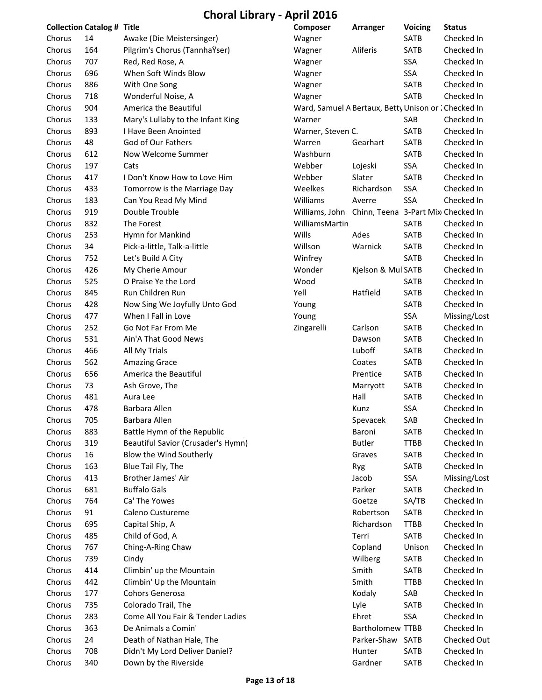|        | <b>Collection Catalog # Title</b> |                                    | Composer                                             | Arranger                           | <b>Voicing</b> | <b>Status</b> |
|--------|-----------------------------------|------------------------------------|------------------------------------------------------|------------------------------------|----------------|---------------|
| Chorus | 14                                | Awake (Die Meistersinger)          | Wagner                                               |                                    | SATB           | Checked In    |
| Chorus | 164                               | Pilgrim's Chorus (TannhaŸser)      | Wagner                                               | Aliferis                           | SATB           | Checked In    |
| Chorus | 707                               | Red, Red Rose, A                   | Wagner                                               |                                    | SSA            | Checked In    |
| Chorus | 696                               | When Soft Winds Blow               | Wagner                                               |                                    | SSA            | Checked In    |
| Chorus | 886                               | With One Song                      | Wagner                                               |                                    | SATB           | Checked In    |
| Chorus | 718                               | Wonderful Noise, A                 | Wagner                                               |                                    | SATB           | Checked In    |
| Chorus | 904                               | America the Beautiful              | Ward, Samuel A Bertaux, Betty Unison or : Checked In |                                    |                |               |
| Chorus | 133                               | Mary's Lullaby to the Infant King  | Warner                                               |                                    | SAB            | Checked In    |
| Chorus | 893                               | I Have Been Anointed               | Warner, Steven C.                                    |                                    | SATB           | Checked In    |
| Chorus | 48                                | God of Our Fathers                 | Warren                                               | Gearhart                           | SATB           | Checked In    |
| Chorus | 612                               | Now Welcome Summer                 | Washburn                                             |                                    | SATB           | Checked In    |
| Chorus | 197                               | Cats                               | Webber                                               | Lojeski                            | SSA            | Checked In    |
| Chorus | 417                               | I Don't Know How to Love Him       | Webber                                               | Slater                             | SATB           | Checked In    |
| Chorus | 433                               | Tomorrow is the Marriage Day       | Weelkes                                              | Richardson                         | <b>SSA</b>     | Checked In    |
| Chorus | 183                               | Can You Read My Mind               | Williams                                             | Averre                             | <b>SSA</b>     | Checked In    |
| Chorus | 919                               | Double Trouble                     | Williams, John                                       | Chinn, Teena 3-Part Mix Checked In |                |               |
| Chorus | 832                               | The Forest                         | WilliamsMartin                                       |                                    | SATB           | Checked In    |
| Chorus | 253                               | Hymn for Mankind                   | Wills                                                | Ades                               | SATB           | Checked In    |
| Chorus | 34                                | Pick-a-little, Talk-a-little       | Willson                                              | Warnick                            | SATB           | Checked In    |
| Chorus | 752                               | Let's Build A City                 | Winfrey                                              |                                    | <b>SATB</b>    | Checked In    |
| Chorus | 426                               | My Cherie Amour                    | Wonder                                               | Kjelson & Mul SATB                 |                | Checked In    |
| Chorus | 525                               | O Praise Ye the Lord               | Wood                                                 |                                    | SATB           | Checked In    |
| Chorus | 845                               | Run Children Run                   | Yell                                                 | Hatfield                           | SATB           | Checked In    |
| Chorus | 428                               | Now Sing We Joyfully Unto God      | Young                                                |                                    | SATB           | Checked In    |
| Chorus | 477                               | When I Fall in Love                | Young                                                |                                    | SSA            | Missing/Lost  |
| Chorus | 252                               | Go Not Far From Me                 | Zingarelli                                           | Carlson                            | SATB           | Checked In    |
| Chorus | 531                               | Ain'A That Good News               |                                                      | Dawson                             | SATB           | Checked In    |
| Chorus | 466                               | All My Trials                      |                                                      | Luboff                             | <b>SATB</b>    | Checked In    |
| Chorus | 562                               | <b>Amazing Grace</b>               |                                                      | Coates                             | SATB           | Checked In    |
| Chorus | 656                               | America the Beautiful              |                                                      | Prentice                           | SATB           | Checked In    |
| Chorus | 73                                | Ash Grove, The                     |                                                      | Marryott                           | SATB           | Checked In    |
| Chorus | 481                               | Aura Lee                           |                                                      | Hall                               | SATB           | Checked In    |
| Chorus | 478                               | Barbara Allen                      |                                                      | Kunz                               | <b>SSA</b>     | Checked In    |
| Chorus | 705                               | Barbara Allen                      |                                                      | Spevacek                           | SAB            | Checked In    |
| Chorus | 883                               | Battle Hymn of the Republic        |                                                      | Baroni                             | SATB           | Checked In    |
| Chorus | 319                               | Beautiful Savior (Crusader's Hymn) |                                                      | <b>Butler</b>                      | <b>TTBB</b>    | Checked In    |
| Chorus | 16                                | Blow the Wind Southerly            |                                                      | Graves                             | SATB           | Checked In    |
| Chorus | 163                               | Blue Tail Fly, The                 |                                                      | Ryg                                | SATB           | Checked In    |
| Chorus | 413                               | Brother James' Air                 |                                                      | Jacob                              | SSA            | Missing/Lost  |
| Chorus | 681                               | <b>Buffalo Gals</b>                |                                                      | Parker                             | SATB           | Checked In    |
| Chorus | 764                               | Ca' The Yowes                      |                                                      | Goetze                             | SA/TB          | Checked In    |
| Chorus | 91                                | Caleno Custureme                   |                                                      | Robertson                          | SATB           | Checked In    |
| Chorus | 695                               | Capital Ship, A                    |                                                      | Richardson                         | <b>TTBB</b>    | Checked In    |
| Chorus | 485                               | Child of God, A                    |                                                      | Terri                              | SATB           | Checked In    |
| Chorus | 767                               | Ching-A-Ring Chaw                  |                                                      | Copland                            | Unison         | Checked In    |
| Chorus | 739                               | Cindy                              |                                                      | Wilberg                            | SATB           | Checked In    |
| Chorus | 414                               | Climbin' up the Mountain           |                                                      | Smith                              | SATB           | Checked In    |
| Chorus | 442                               | Climbin' Up the Mountain           |                                                      | Smith                              | TTBB           | Checked In    |
| Chorus | 177                               | Cohors Generosa                    |                                                      | Kodaly                             | SAB            | Checked In    |
| Chorus | 735                               | Colorado Trail, The                |                                                      | Lyle                               | SATB           | Checked In    |
| Chorus | 283                               | Come All You Fair & Tender Ladies  |                                                      | Ehret                              | SSA            | Checked In    |
| Chorus | 363                               | De Animals a Comin'                |                                                      | Bartholomew TTBB                   |                | Checked In    |
| Chorus | 24                                | Death of Nathan Hale, The          |                                                      | Parker-Shaw SATB                   |                | Checked Out   |
| Chorus | 708                               | Didn't My Lord Deliver Daniel?     |                                                      | Hunter                             | SATB           | Checked In    |
| Chorus | 340                               | Down by the Riverside              |                                                      | Gardner                            | SATB           | Checked In    |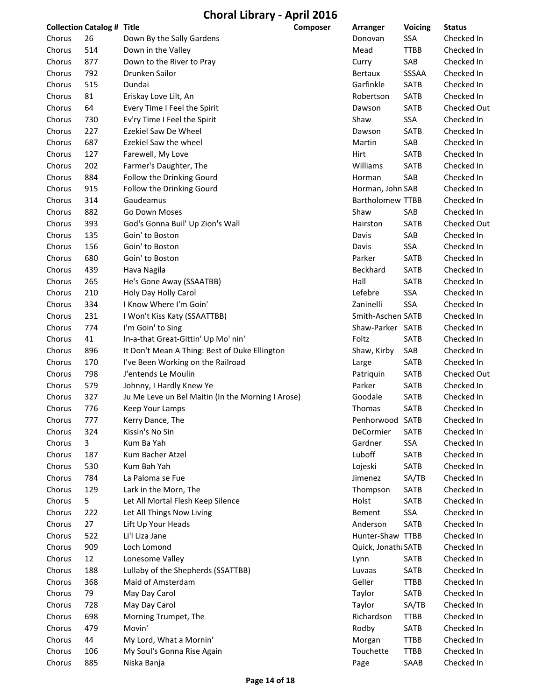|        | <b>Collection Catalog # Title</b> |                                                   | Composer | Arranger           | <b>Voicing</b> | <b>Status</b> |
|--------|-----------------------------------|---------------------------------------------------|----------|--------------------|----------------|---------------|
| Chorus | 26                                | Down By the Sally Gardens                         |          | Donovan            | SSA            | Checked In    |
| Chorus | 514                               | Down in the Valley                                |          | Mead               | <b>TTBB</b>    | Checked In    |
| Chorus | 877                               | Down to the River to Pray                         |          | Curry              | SAB            | Checked In    |
| Chorus | 792                               | Drunken Sailor                                    |          | <b>Bertaux</b>     | SSSAA          | Checked In    |
| Chorus | 515                               | Dundai                                            |          | Garfinkle          | SATB           | Checked In    |
| Chorus | 81                                | Eriskay Love Lilt, An                             |          | Robertson          | <b>SATB</b>    | Checked In    |
| Chorus | 64                                | Every Time I Feel the Spirit                      |          | Dawson             | <b>SATB</b>    | Checked Out   |
| Chorus | 730                               | Ev'ry Time I Feel the Spirit                      |          | Shaw               | SSA            | Checked In    |
| Chorus | 227                               | <b>Ezekiel Saw De Wheel</b>                       |          | Dawson             | SATB           | Checked In    |
| Chorus | 687                               | Ezekiel Saw the wheel                             |          | Martin             | SAB            | Checked In    |
| Chorus | 127                               | Farewell, My Love                                 |          | Hirt               | SATB           | Checked In    |
| Chorus | 202                               | Farmer's Daughter, The                            |          | Williams           | <b>SATB</b>    | Checked In    |
| Chorus | 884                               | Follow the Drinking Gourd                         |          | Horman             | SAB            | Checked In    |
| Chorus | 915                               | Follow the Drinking Gourd                         |          | Horman, John SAB   |                | Checked In    |
| Chorus | 314                               | Gaudeamus                                         |          | Bartholomew TTBB   |                | Checked In    |
| Chorus | 882                               | Go Down Moses                                     |          | Shaw               | SAB            | Checked In    |
| Chorus | 393                               | God's Gonna Buil' Up Zion's Wall                  |          | Hairston           | <b>SATB</b>    | Checked Out   |
| Chorus | 135                               | Goin' to Boston                                   |          | Davis              | SAB            | Checked In    |
| Chorus | 156                               | Goin' to Boston                                   |          | Davis              | SSA            | Checked In    |
| Chorus | 680                               | Goin' to Boston                                   |          | Parker             | <b>SATB</b>    | Checked In    |
| Chorus | 439                               | Hava Nagila                                       |          | Beckhard           | SATB           | Checked In    |
| Chorus | 265                               | He's Gone Away (SSAATBB)                          |          | Hall               | SATB           | Checked In    |
| Chorus | 210                               | Holy Day Holly Carol                              |          | Lefebre            | SSA            | Checked In    |
| Chorus | 334                               | I Know Where I'm Goin'                            |          | Zaninelli          | SSA            | Checked In    |
| Chorus | 231                               | I Won't Kiss Katy (SSAATTBB)                      |          | Smith-Aschen SATB  |                | Checked In    |
| Chorus | 774                               | I'm Goin' to Sing                                 |          | Shaw-Parker SATB   |                | Checked In    |
| Chorus | 41                                | In-a-that Great-Gittin' Up Mo' nin'               |          | Foltz              | <b>SATB</b>    | Checked In    |
| Chorus | 896                               | It Don't Mean A Thing: Best of Duke Ellington     |          | Shaw, Kirby        | SAB            | Checked In    |
| Chorus | 170                               | I've Been Working on the Railroad                 |          | Large              | SATB           | Checked In    |
| Chorus | 798                               | J'entends Le Moulin                               |          | Patriquin          | SATB           | Checked Out   |
| Chorus | 579                               | Johnny, I Hardly Knew Ye                          |          | Parker             | SATB           | Checked In    |
| Chorus | 327                               | Ju Me Leve un Bel Maitin (In the Morning I Arose) |          | Goodale            | SATB           | Checked In    |
| Chorus | 776                               | Keep Your Lamps                                   |          | Thomas             | SATB           | Checked In    |
| Chorus | 777                               | Kerry Dance, The                                  |          | Penhorwood SATB    |                | Checked In    |
| Chorus | 324                               | Kissin's No Sin                                   |          | DeCormier          | SATB           | Checked In    |
| Chorus | 3                                 | Kum Ba Yah                                        |          | Gardner            | SSA            | Checked In    |
| Chorus | 187                               | Kum Bacher Atzel                                  |          | Luboff             | SATB           | Checked In    |
| Chorus | 530                               | Kum Bah Yah                                       |          | Lojeski            | SATB           | Checked In    |
| Chorus | 784                               | La Paloma se Fue                                  |          | Jimenez            | SA/TB          | Checked In    |
| Chorus | 129                               | Lark in the Morn, The                             |          | Thompson           | SATB           | Checked In    |
| Chorus | 5                                 | Let All Mortal Flesh Keep Silence                 |          | Holst              | SATB           | Checked In    |
| Chorus | 222                               | Let All Things Now Living                         |          | Bement             | SSA            | Checked In    |
| Chorus | 27                                | Lift Up Your Heads                                |          | Anderson           | SATB           | Checked In    |
| Chorus | 522                               | Li'l Liza Jane                                    |          | Hunter-Shaw TTBB   |                | Checked In    |
| Chorus | 909                               | Loch Lomond                                       |          | Quick, Jonath SATB |                | Checked In    |
| Chorus | 12                                | Lonesome Valley                                   |          | Lynn               | SATB           | Checked In    |
| Chorus | 188                               | Lullaby of the Shepherds (SSATTBB)                |          | Luvaas             | SATB           | Checked In    |
| Chorus | 368                               | Maid of Amsterdam                                 |          | Geller             | <b>TTBB</b>    | Checked In    |
| Chorus | 79                                | May Day Carol                                     |          | Taylor             | SATB           | Checked In    |
| Chorus | 728                               | May Day Carol                                     |          | Taylor             | SA/TB          | Checked In    |
| Chorus | 698                               | Morning Trumpet, The                              |          | Richardson         | TTBB           | Checked In    |
| Chorus | 479                               | Movin'                                            |          | Rodby              | SATB           | Checked In    |
| Chorus | 44                                | My Lord, What a Mornin'                           |          | Morgan             | <b>TTBB</b>    | Checked In    |
| Chorus | 106                               | My Soul's Gonna Rise Again                        |          | Touchette          | TTBB           | Checked In    |
| Chorus | 885                               | Niska Banja                                       |          | Page               | SAAB           | Checked In    |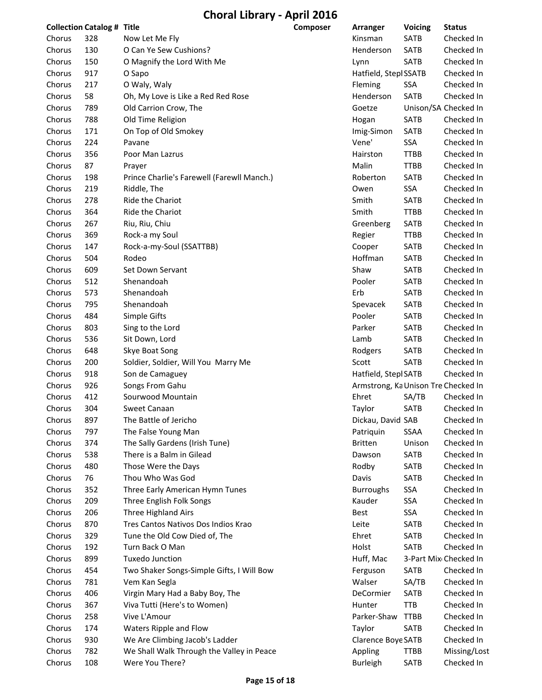| <b>Collection Catalog # Title</b> |     |                                              | <b>Composer</b> | Arranger                            | <b>Voicing</b> | <b>Status</b>            |
|-----------------------------------|-----|----------------------------------------------|-----------------|-------------------------------------|----------------|--------------------------|
| Chorus                            | 328 | Now Let Me Fly                               |                 | Kinsman                             | SATB           | Checked In               |
| Chorus                            | 130 | O Can Ye Sew Cushions?                       |                 | Henderson                           | <b>SATB</b>    | Checked In               |
| Chorus                            | 150 | O Magnify the Lord With Me                   |                 | Lynn                                | SATB           | Checked In               |
| Chorus                            | 917 | O Sapo                                       |                 | Hatfield, Stepl SSATB               |                | Checked In               |
| Chorus                            | 217 | O Waly, Waly                                 |                 | Fleming                             | <b>SSA</b>     | Checked In               |
| Chorus                            | 58  | Oh, My Love is Like a Red Red Rose           |                 | Henderson                           | SATB           | Checked In               |
| Chorus                            | 789 | Old Carrion Crow, The                        |                 | Goetze                              |                | Unison/SA Checked In     |
| Chorus                            | 788 | Old Time Religion                            |                 | Hogan                               | <b>SATB</b>    | Checked In               |
| Chorus                            | 171 | On Top of Old Smokey                         |                 | Imig-Simon                          | <b>SATB</b>    | Checked In               |
| Chorus                            | 224 | Pavane                                       |                 | Vene'                               | SSA            | Checked In               |
| Chorus                            | 356 | Poor Man Lazrus                              |                 | Hairston                            | <b>TTBB</b>    | Checked In               |
| Chorus                            | 87  | Prayer                                       |                 | Malin                               | <b>TTBB</b>    | Checked In               |
| Chorus                            | 198 | Prince Charlie's Farewell (Farewll Manch.)   |                 | Roberton                            | <b>SATB</b>    | Checked In               |
| Chorus                            | 219 | Riddle, The                                  |                 | Owen                                | SSA            | Checked In               |
| Chorus                            | 278 | Ride the Chariot                             |                 | Smith                               | SATB           | Checked In               |
| Chorus                            | 364 | Ride the Chariot                             |                 | Smith                               | <b>TTBB</b>    | Checked In               |
| Chorus                            | 267 | Riu, Riu, Chiu                               |                 | Greenberg                           | SATB           | Checked In               |
| Chorus                            | 369 | Rock-a my Soul                               |                 | Regier                              | <b>TTBB</b>    | Checked In               |
| Chorus                            | 147 | Rock-a-my-Soul (SSATTBB)                     |                 | Cooper                              | SATB           | Checked In               |
| Chorus                            | 504 | Rodeo                                        |                 | Hoffman                             | SATB           | Checked In               |
| Chorus                            | 609 | Set Down Servant                             |                 | Shaw                                | SATB           | Checked In               |
| Chorus                            | 512 | Shenandoah                                   |                 | Pooler                              | <b>SATB</b>    | Checked In               |
| Chorus                            | 573 | Shenandoah                                   |                 | Erb                                 | SATB           | Checked In               |
| Chorus                            | 795 | Shenandoah                                   |                 | Spevacek                            | SATB           | Checked In               |
| Chorus                            | 484 | Simple Gifts                                 |                 | Pooler                              | <b>SATB</b>    | Checked In               |
| Chorus                            | 803 | Sing to the Lord                             |                 | Parker                              | <b>SATB</b>    | Checked In               |
| Chorus                            | 536 | Sit Down, Lord                               |                 | Lamb                                | SATB           | Checked In               |
| Chorus                            | 648 | Skye Boat Song                               |                 | Rodgers                             | SATB           | Checked In               |
| Chorus                            | 200 | Soldier, Soldier, Will You Marry Me          |                 | Scott                               | <b>SATB</b>    | Checked In               |
| Chorus                            | 918 | Son de Camaguey                              |                 | Hatfield, Stepl SATB                |                | Checked In               |
| Chorus                            | 926 | Songs From Gahu                              |                 | Armstrong, Ka Unison Tre Checked In |                |                          |
| Chorus                            | 412 | Sourwood Mountain                            |                 | Ehret                               | SA/TB          | Checked In               |
| Chorus                            | 304 | Sweet Canaan                                 |                 | Taylor                              | <b>SATB</b>    | Checked In               |
| Chorus                            | 897 | The Battle of Jericho                        |                 | Dickau, David SAB                   |                | Checked In               |
| Chorus                            | 797 | The False Young Man                          |                 | Patriquin                           | SSAA           | Checked In               |
| Chorus                            | 374 | The Sally Gardens (Irish Tune)               |                 | <b>Britten</b>                      | Unison         | Checked In               |
| Chorus                            | 538 | There is a Balm in Gilead                    |                 | Dawson                              | SATB           | Checked In               |
| Chorus                            | 480 | Those Were the Days                          |                 | Rodby                               | SATB           | Checked In               |
| Chorus                            | 76  | Thou Who Was God                             |                 | Davis                               | <b>SATB</b>    | Checked In               |
| Chorus                            | 352 | Three Early American Hymn Tunes              |                 | <b>Burroughs</b>                    | SSA            | Checked In               |
| Chorus                            | 209 | Three English Folk Songs                     |                 | Kauder                              | SSA            | Checked In               |
| Chorus                            | 206 | Three Highland Airs                          |                 | Best                                | SSA            | Checked In               |
| Chorus                            | 870 | Tres Cantos Nativos Dos Indios Krao          |                 | Leite                               | SATB           | Checked In               |
| Chorus                            | 329 | Tune the Old Cow Died of, The                |                 | Ehret                               | SATB           | Checked In               |
| Chorus                            | 192 | Turn Back O Man                              |                 | Holst                               | SATB           | Checked In               |
| Chorus                            | 899 | <b>Tuxedo Junction</b>                       |                 | Huff, Mac                           |                | 3-Part Mix Checked In    |
| Chorus                            | 454 | Two Shaker Songs-Simple Gifts, I Will Bow    |                 | Ferguson                            | <b>SATB</b>    | Checked In               |
| Chorus                            | 781 | Vem Kan Segla                                |                 | Walser                              | SA/TB          | Checked In               |
| Chorus                            | 406 | Virgin Mary Had a Baby Boy, The              |                 | DeCormier                           | SATB           | Checked In               |
|                                   |     |                                              |                 |                                     |                |                          |
| Chorus                            | 367 | Viva Tutti (Here's to Women)<br>Vive L'Amour |                 | Hunter<br>Parker-Shaw               | <b>TTB</b>     | Checked In<br>Checked In |
| Chorus                            | 258 |                                              |                 |                                     | TTBB           |                          |
| Chorus                            | 174 | Waters Ripple and Flow                       |                 | Taylor                              | SATB           | Checked In               |
| Chorus                            | 930 | We Are Climbing Jacob's Ladder               |                 | Clarence Boye SATB                  |                | Checked In               |
| Chorus                            | 782 | We Shall Walk Through the Valley in Peace    |                 | Appling                             | TTBB           | Missing/Lost             |
| Chorus                            | 108 | Were You There?                              |                 | <b>Burleigh</b>                     | SATB           | Checked In               |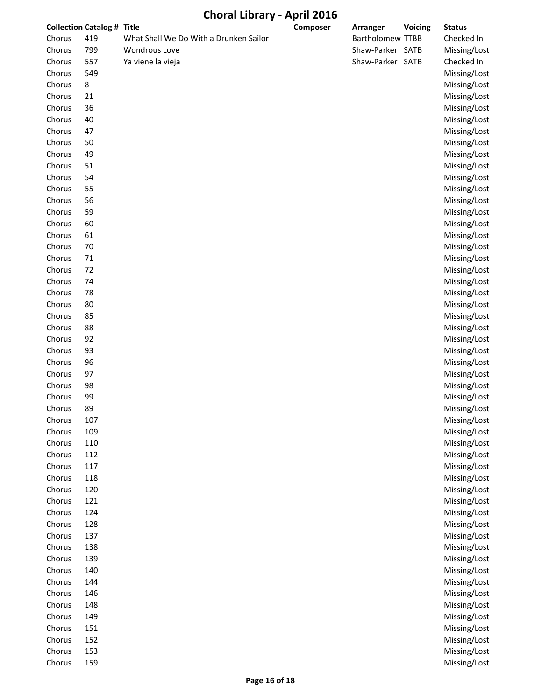|        | <b>Collection Catalog # Title</b> |                                        | Composer | Arranger         | <b>Voicing</b> | <b>Status</b> |
|--------|-----------------------------------|----------------------------------------|----------|------------------|----------------|---------------|
| Chorus | 419                               | What Shall We Do With a Drunken Sailor |          | Bartholomew TTBB |                | Checked In    |
| Chorus | 799                               | <b>Wondrous Love</b>                   |          | Shaw-Parker SATB |                | Missing/Lost  |
| Chorus | 557                               | Ya viene la vieja                      |          | Shaw-Parker SATB |                | Checked In    |
| Chorus | 549                               |                                        |          |                  |                | Missing/Lost  |
| Chorus | 8                                 |                                        |          |                  |                | Missing/Lost  |
| Chorus | 21                                |                                        |          |                  |                | Missing/Lost  |
| Chorus | 36                                |                                        |          |                  |                | Missing/Lost  |
| Chorus | 40                                |                                        |          |                  |                | Missing/Lost  |
| Chorus | 47                                |                                        |          |                  |                | Missing/Lost  |
| Chorus | 50                                |                                        |          |                  |                | Missing/Lost  |
| Chorus | 49                                |                                        |          |                  |                | Missing/Lost  |
| Chorus | 51                                |                                        |          |                  |                | Missing/Lost  |
| Chorus | 54                                |                                        |          |                  |                | Missing/Lost  |
| Chorus | 55                                |                                        |          |                  |                | Missing/Lost  |
| Chorus | 56                                |                                        |          |                  |                | Missing/Lost  |
| Chorus | 59                                |                                        |          |                  |                | Missing/Lost  |
| Chorus | 60                                |                                        |          |                  |                | Missing/Lost  |
| Chorus | 61                                |                                        |          |                  |                | Missing/Lost  |
| Chorus | 70                                |                                        |          |                  |                | Missing/Lost  |
| Chorus | 71                                |                                        |          |                  |                | Missing/Lost  |
| Chorus | 72                                |                                        |          |                  |                | Missing/Lost  |
| Chorus | 74                                |                                        |          |                  |                | Missing/Lost  |
| Chorus | 78                                |                                        |          |                  |                | Missing/Lost  |
| Chorus | 80                                |                                        |          |                  |                | Missing/Lost  |
| Chorus | 85                                |                                        |          |                  |                | Missing/Lost  |
| Chorus | 88                                |                                        |          |                  |                | Missing/Lost  |
| Chorus | 92                                |                                        |          |                  |                | Missing/Lost  |
| Chorus | 93                                |                                        |          |                  |                | Missing/Lost  |
| Chorus | 96                                |                                        |          |                  |                | Missing/Lost  |
| Chorus | 97                                |                                        |          |                  |                | Missing/Lost  |
| Chorus | 98                                |                                        |          |                  |                | Missing/Lost  |
| Chorus | 99                                |                                        |          |                  |                | Missing/Lost  |
| Chorus | 89                                |                                        |          |                  |                | Missing/Lost  |
| Chorus | 107                               |                                        |          |                  |                | Missing/Lost  |
| Chorus | 109                               |                                        |          |                  |                | Missing/Lost  |
| Chorus | 110                               |                                        |          |                  |                | Missing/Lost  |
| Chorus | 112                               |                                        |          |                  |                | Missing/Lost  |
| Chorus | 117                               |                                        |          |                  |                | Missing/Lost  |
| Chorus | 118                               |                                        |          |                  |                | Missing/Lost  |
| Chorus | 120                               |                                        |          |                  |                | Missing/Lost  |
| Chorus | 121                               |                                        |          |                  |                | Missing/Lost  |
| Chorus | 124                               |                                        |          |                  |                | Missing/Lost  |
| Chorus | 128                               |                                        |          |                  |                | Missing/Lost  |
| Chorus | 137                               |                                        |          |                  |                | Missing/Lost  |
| Chorus | 138                               |                                        |          |                  |                | Missing/Lost  |
| Chorus | 139                               |                                        |          |                  |                | Missing/Lost  |
| Chorus | 140                               |                                        |          |                  |                | Missing/Lost  |
| Chorus | 144                               |                                        |          |                  |                | Missing/Lost  |
| Chorus | 146                               |                                        |          |                  |                | Missing/Lost  |
| Chorus | 148                               |                                        |          |                  |                | Missing/Lost  |
| Chorus | 149                               |                                        |          |                  |                | Missing/Lost  |
| Chorus | 151                               |                                        |          |                  |                | Missing/Lost  |
|        | 152                               |                                        |          |                  |                |               |
| Chorus |                                   |                                        |          |                  |                | Missing/Lost  |
| Chorus | 153                               |                                        |          |                  |                | Missing/Lost  |
| Chorus | 159                               |                                        |          |                  |                | Missing/Lost  |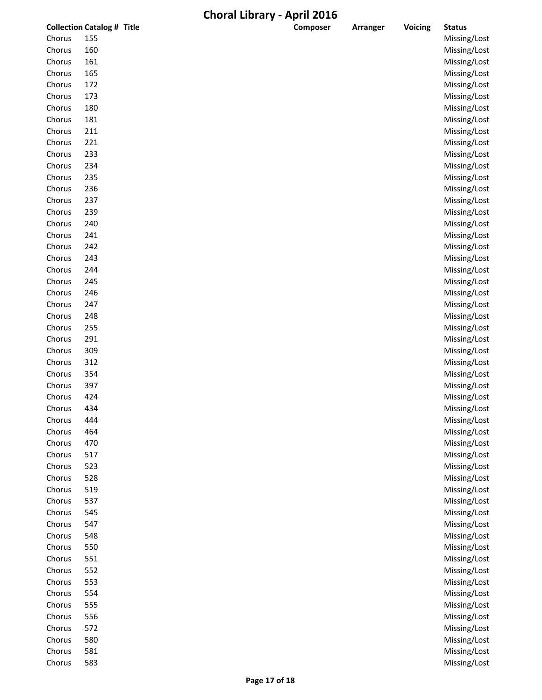|        | <b>Collection Catalog # Title</b> | Composer | <b>Arranger</b> | Voicing | <b>Status</b> |
|--------|-----------------------------------|----------|-----------------|---------|---------------|
| Chorus | 155                               |          |                 |         | Missing/Lost  |
| Chorus | 160                               |          |                 |         | Missing/Lost  |
| Chorus | 161                               |          |                 |         | Missing/Lost  |
| Chorus | 165                               |          |                 |         | Missing/Lost  |
| Chorus | 172                               |          |                 |         | Missing/Lost  |
| Chorus | 173                               |          |                 |         | Missing/Lost  |
| Chorus | 180                               |          |                 |         | Missing/Lost  |
| Chorus | 181                               |          |                 |         | Missing/Lost  |
| Chorus | 211                               |          |                 |         | Missing/Lost  |
| Chorus | 221                               |          |                 |         | Missing/Lost  |
| Chorus | 233                               |          |                 |         | Missing/Lost  |
| Chorus | 234                               |          |                 |         | Missing/Lost  |
| Chorus | 235                               |          |                 |         | Missing/Lost  |
| Chorus | 236                               |          |                 |         | Missing/Lost  |
| Chorus | 237                               |          |                 |         | Missing/Lost  |
| Chorus | 239                               |          |                 |         | Missing/Lost  |
| Chorus | 240                               |          |                 |         | Missing/Lost  |
| Chorus | 241                               |          |                 |         | Missing/Lost  |
| Chorus | 242                               |          |                 |         | Missing/Lost  |
| Chorus | 243                               |          |                 |         | Missing/Lost  |
| Chorus | 244                               |          |                 |         | Missing/Lost  |
| Chorus | 245                               |          |                 |         | Missing/Lost  |
| Chorus | 246                               |          |                 |         | Missing/Lost  |
| Chorus | 247                               |          |                 |         | Missing/Lost  |
| Chorus | 248                               |          |                 |         | Missing/Lost  |
| Chorus | 255                               |          |                 |         | Missing/Lost  |
| Chorus | 291                               |          |                 |         | Missing/Lost  |
| Chorus | 309                               |          |                 |         | Missing/Lost  |
| Chorus | 312                               |          |                 |         | Missing/Lost  |
| Chorus | 354                               |          |                 |         | Missing/Lost  |
| Chorus | 397                               |          |                 |         | Missing/Lost  |
| Chorus | 424                               |          |                 |         | Missing/Lost  |
| Chorus | 434                               |          |                 |         | Missing/Lost  |
| Chorus | 444                               |          |                 |         | Missing/Lost  |
| Chorus | 464                               |          |                 |         | Missing/Lost  |
| Chorus | 470                               |          |                 |         | Missing/Lost  |
| Chorus | 517                               |          |                 |         | Missing/Lost  |
| Chorus | 523                               |          |                 |         | Missing/Lost  |
| Chorus | 528                               |          |                 |         | Missing/Lost  |
| Chorus | 519                               |          |                 |         | Missing/Lost  |
| Chorus | 537                               |          |                 |         | Missing/Lost  |
| Chorus | 545                               |          |                 |         | Missing/Lost  |
| Chorus | 547                               |          |                 |         | Missing/Lost  |
| Chorus | 548                               |          |                 |         | Missing/Lost  |
| Chorus | 550                               |          |                 |         | Missing/Lost  |
| Chorus | 551                               |          |                 |         | Missing/Lost  |
| Chorus | 552                               |          |                 |         | Missing/Lost  |
| Chorus | 553                               |          |                 |         | Missing/Lost  |
| Chorus | 554                               |          |                 |         | Missing/Lost  |
| Chorus | 555                               |          |                 |         | Missing/Lost  |
| Chorus | 556                               |          |                 |         | Missing/Lost  |
| Chorus | 572                               |          |                 |         | Missing/Lost  |
| Chorus | 580                               |          |                 |         | Missing/Lost  |
| Chorus | 581                               |          |                 |         | Missing/Lost  |
| Chorus | 583                               |          |                 |         | Missing/Lost  |